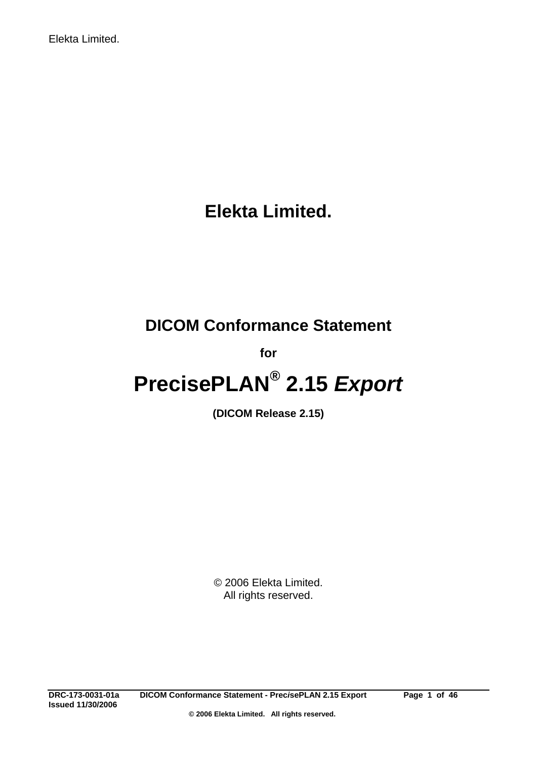# **DICOM Conformance Statement**

**for** 

# **PrecisePLAN® 2.15** *Export*

**(DICOM Release 2.15)** 

© 2006 Elekta Limited. All rights reserved.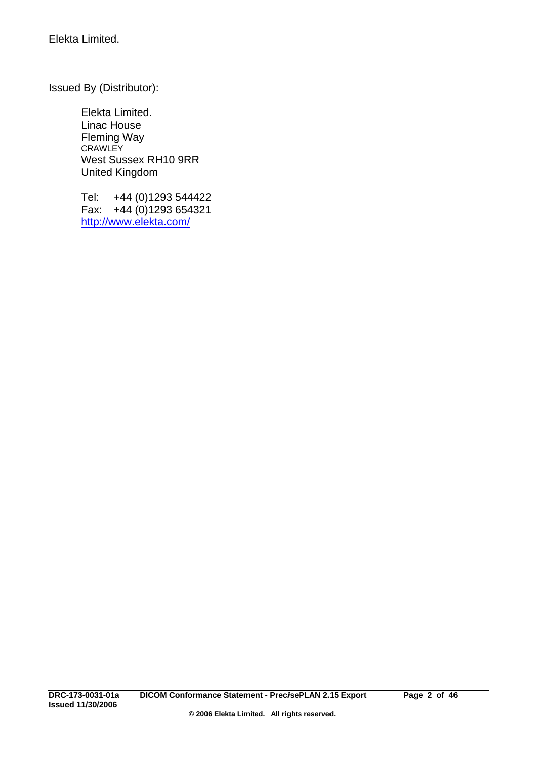Issued By (Distributor):

 Elekta Limited. Linac House Fleming Way **CRAWLEY**  West Sussex RH10 9RR United Kingdom

> Tel: +44 (0)1293 544422 Fax: +44 (0)1293 654321 <http://www.elekta.com/>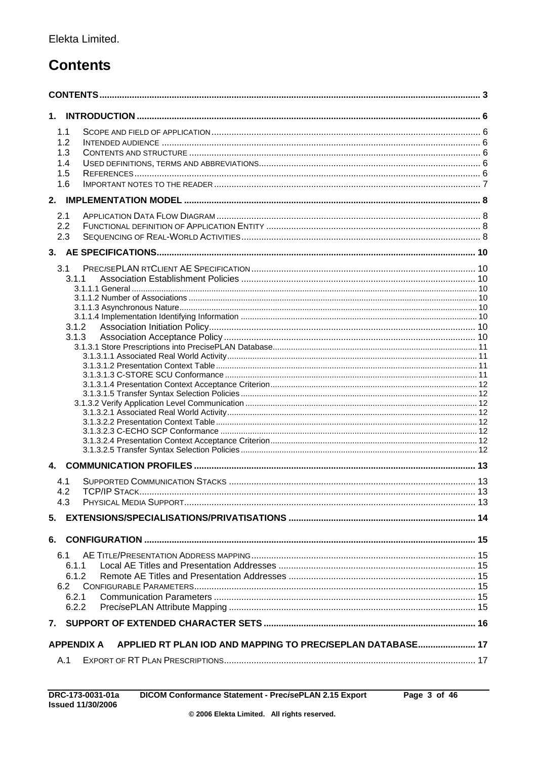# <span id="page-2-0"></span>**Contents**

| 1.1 |                                                                                 |  |  |  |  |  |
|-----|---------------------------------------------------------------------------------|--|--|--|--|--|
| 1.2 |                                                                                 |  |  |  |  |  |
| 1.3 |                                                                                 |  |  |  |  |  |
| 1.4 |                                                                                 |  |  |  |  |  |
| 1.5 |                                                                                 |  |  |  |  |  |
| 1.6 |                                                                                 |  |  |  |  |  |
|     |                                                                                 |  |  |  |  |  |
| 2.1 |                                                                                 |  |  |  |  |  |
| 2.2 |                                                                                 |  |  |  |  |  |
| 2.3 |                                                                                 |  |  |  |  |  |
|     |                                                                                 |  |  |  |  |  |
|     | 3.1                                                                             |  |  |  |  |  |
|     | 3.1.1                                                                           |  |  |  |  |  |
|     |                                                                                 |  |  |  |  |  |
|     |                                                                                 |  |  |  |  |  |
|     |                                                                                 |  |  |  |  |  |
|     |                                                                                 |  |  |  |  |  |
|     | 3.1.2                                                                           |  |  |  |  |  |
|     | 3.1.3                                                                           |  |  |  |  |  |
|     |                                                                                 |  |  |  |  |  |
|     |                                                                                 |  |  |  |  |  |
|     |                                                                                 |  |  |  |  |  |
|     |                                                                                 |  |  |  |  |  |
|     |                                                                                 |  |  |  |  |  |
|     |                                                                                 |  |  |  |  |  |
|     |                                                                                 |  |  |  |  |  |
|     |                                                                                 |  |  |  |  |  |
|     |                                                                                 |  |  |  |  |  |
|     |                                                                                 |  |  |  |  |  |
| 4.  |                                                                                 |  |  |  |  |  |
| 4.1 |                                                                                 |  |  |  |  |  |
| 4.2 |                                                                                 |  |  |  |  |  |
| 4.3 |                                                                                 |  |  |  |  |  |
|     |                                                                                 |  |  |  |  |  |
| 5.  |                                                                                 |  |  |  |  |  |
| 6.  |                                                                                 |  |  |  |  |  |
| 6.1 |                                                                                 |  |  |  |  |  |
|     | 6.1.1                                                                           |  |  |  |  |  |
|     | 6.1.2                                                                           |  |  |  |  |  |
| 6.2 |                                                                                 |  |  |  |  |  |
|     | 6.2.1                                                                           |  |  |  |  |  |
|     | 6.2.2                                                                           |  |  |  |  |  |
|     |                                                                                 |  |  |  |  |  |
|     | APPLIED RT PLAN IOD AND MAPPING TO PREC/SEPLAN DATABASE 17<br><b>APPENDIX A</b> |  |  |  |  |  |
| A.1 |                                                                                 |  |  |  |  |  |
|     |                                                                                 |  |  |  |  |  |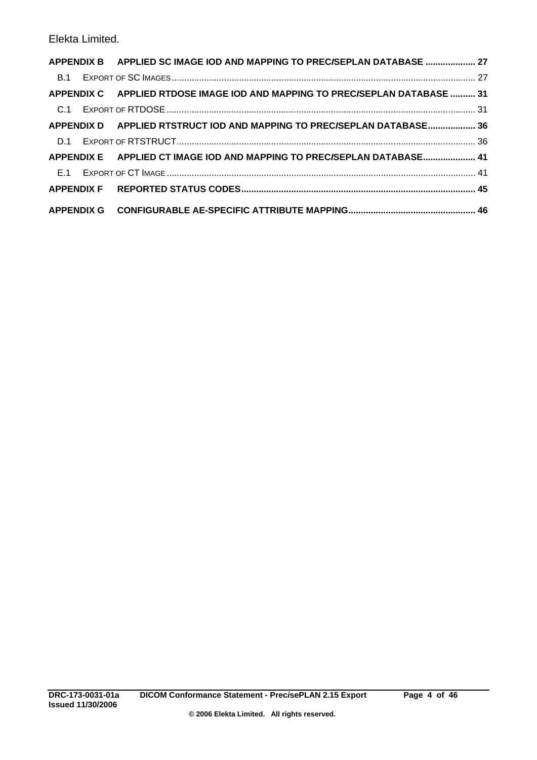|  | APPENDIX B APPLIED SC IMAGE IOD AND MAPPING TO PREC/SEPLAN DATABASE  27     |  |
|--|-----------------------------------------------------------------------------|--|
|  |                                                                             |  |
|  | APPENDIX C APPLIED RTDOSE IMAGE IOD AND MAPPING TO PREC/SEPLAN DATABASE  31 |  |
|  |                                                                             |  |
|  | APPENDIX D APPLIED RTSTRUCT IOD AND MAPPING TO PREC/SEPLAN DATABASE 36      |  |
|  |                                                                             |  |
|  | APPENDIX E APPLIED CT IMAGE IOD AND MAPPING TO PREC/SEPLAN DATABASE 41      |  |
|  |                                                                             |  |
|  |                                                                             |  |
|  |                                                                             |  |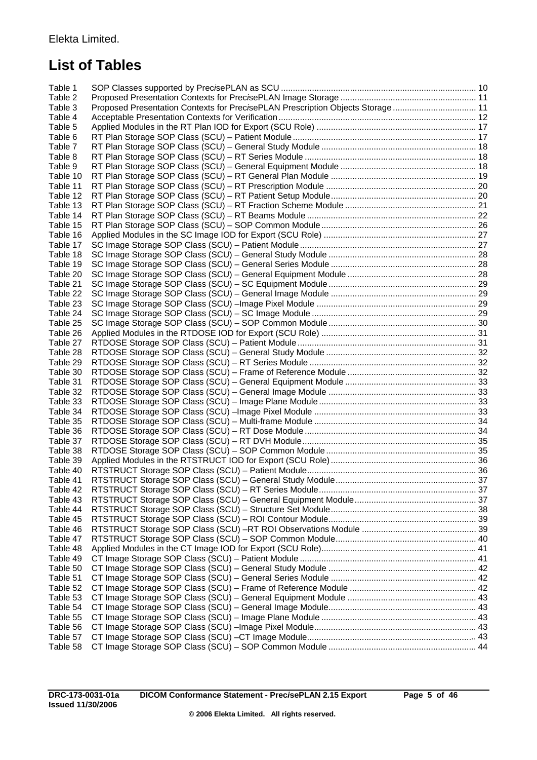# **List of Tables**

| Table 1  |                                                                                |  |
|----------|--------------------------------------------------------------------------------|--|
| Table 2  |                                                                                |  |
| Table 3  | Proposed Presentation Contexts for PrecisePLAN Prescription Objects Storage 11 |  |
| Table 4  |                                                                                |  |
| Table 5  |                                                                                |  |
| Table 6  |                                                                                |  |
| Table 7  |                                                                                |  |
| Table 8  |                                                                                |  |
| Table 9  |                                                                                |  |
| Table 10 |                                                                                |  |
| Table 11 |                                                                                |  |
| Table 12 |                                                                                |  |
| Table 13 |                                                                                |  |
| Table 14 |                                                                                |  |
| Table 15 |                                                                                |  |
| Table 16 |                                                                                |  |
| Table 17 |                                                                                |  |
| Table 18 |                                                                                |  |
| Table 19 |                                                                                |  |
| Table 20 |                                                                                |  |
| Table 21 |                                                                                |  |
| Table 22 |                                                                                |  |
| Table 23 |                                                                                |  |
| Table 24 |                                                                                |  |
| Table 25 |                                                                                |  |
| Table 26 |                                                                                |  |
| Table 27 |                                                                                |  |
| Table 28 |                                                                                |  |
| Table 29 |                                                                                |  |
| Table 30 |                                                                                |  |
| Table 31 |                                                                                |  |
| Table 32 |                                                                                |  |
| Table 33 |                                                                                |  |
| Table 34 |                                                                                |  |
| Table 35 |                                                                                |  |
| Table 36 |                                                                                |  |
| Table 37 |                                                                                |  |
| Table 38 |                                                                                |  |
| Table 39 |                                                                                |  |
| Table 40 |                                                                                |  |
| Table 41 |                                                                                |  |
| Table 42 |                                                                                |  |
| Table 43 |                                                                                |  |
| Table 44 |                                                                                |  |
| Table 45 |                                                                                |  |
| Table 46 |                                                                                |  |
| Table 47 |                                                                                |  |
| Table 48 |                                                                                |  |
| Table 49 |                                                                                |  |
| Table 50 |                                                                                |  |
| Table 51 |                                                                                |  |
| Table 52 |                                                                                |  |
| Table 53 |                                                                                |  |
| Table 54 |                                                                                |  |
| Table 55 |                                                                                |  |
| Table 56 |                                                                                |  |
| Table 57 |                                                                                |  |
| Table 58 |                                                                                |  |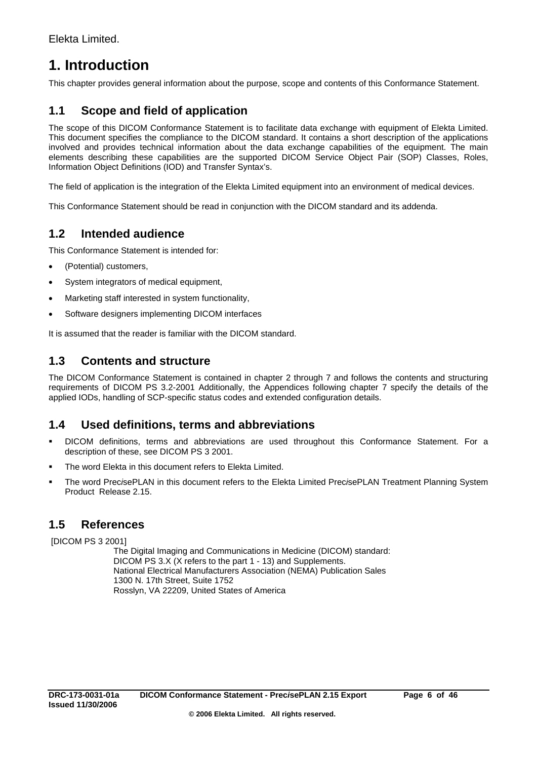# <span id="page-5-0"></span>**1. Introduction**

This chapter provides general information about the purpose, scope and contents of this Conformance Statement.

## **1.1 Scope and field of application**

The scope of this DICOM Conformance Statement is to facilitate data exchange with equipment of Elekta Limited. This document specifies the compliance to the DICOM standard. It contains a short description of the applications involved and provides technical information about the data exchange capabilities of the equipment. The main elements describing these capabilities are the supported DICOM Service Object Pair (SOP) Classes, Roles, Information Object Definitions (IOD) and Transfer Syntax's.

The field of application is the integration of the Elekta Limited equipment into an environment of medical devices.

This Conformance Statement should be read in conjunction with the DICOM standard and its addenda.

## **1.2 Intended audience**

This Conformance Statement is intended for:

- (Potential) customers,
- System integrators of medical equipment,
- Marketing staff interested in system functionality,
- Software designers implementing DICOM interfaces

It is assumed that the reader is familiar with the DICOM standard.

## **1.3 Contents and structure**

The DICOM Conformance Statement is contained in chapter [2](#page-7-1) through [7](#page-15-1) and follows the contents and structuring requirements of DICOM PS 3.2-2001 Additionally, the Appendices following chapter [7](#page-15-1) specify the details of the applied IODs, handling of SCP-specific status codes and extended configuration details.

## **1.4 Used definitions, terms and abbreviations**

- DICOM definitions, terms and abbreviations are used throughout this Conformance Statement. For a description of these, see DICOM PS 3 2001.
- The word Elekta in this document refers to Elekta Limited.
- The word Prec*i*sePLAN in this document refers to the Elekta Limited Prec*i*sePLAN Treatment Planning System Product Release 2.15.

## **1.5 References**

[DICOM PS 3 2001]

The Digital Imaging and Communications in Medicine (DICOM) standard: DICOM PS 3.X (X refers to the part 1 - 13) and Supplements. National Electrical Manufacturers Association (NEMA) Publication Sales 1300 N. 17th Street, Suite 1752 Rosslyn, VA 22209, United States of America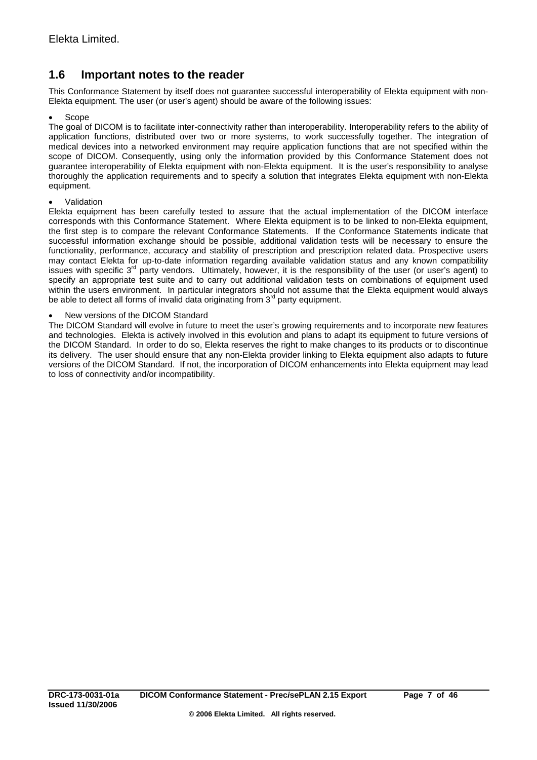## <span id="page-6-0"></span>**1.6 Important notes to the reader**

This Conformance Statement by itself does not guarantee successful interoperability of Elekta equipment with non-Elekta equipment. The user (or user's agent) should be aware of the following issues:

#### • Scope

The goal of DICOM is to facilitate inter-connectivity rather than interoperability. Interoperability refers to the ability of application functions, distributed over two or more systems, to work successfully together. The integration of medical devices into a networked environment may require application functions that are not specified within the scope of DICOM. Consequently, using only the information provided by this Conformance Statement does not guarantee interoperability of Elekta equipment with non-Elekta equipment. It is the user's responsibility to analyse thoroughly the application requirements and to specify a solution that integrates Elekta equipment with non-Elekta equipment.

#### • Validation

Elekta equipment has been carefully tested to assure that the actual implementation of the DICOM interface corresponds with this Conformance Statement. Where Elekta equipment is to be linked to non-Elekta equipment, the first step is to compare the relevant Conformance Statements. If the Conformance Statements indicate that successful information exchange should be possible, additional validation tests will be necessary to ensure the functionality, performance, accuracy and stability of prescription and prescription related data. Prospective users may contact Elekta for up-to-date information regarding available validation status and any known compatibility issues with specific  $3<sup>rd</sup>$  party vendors. Ultimately, however, it is the responsibility of the user (or user's agent) to specify an appropriate test suite and to carry out additional validation tests on combinations of equipment used within the users environment. In particular integrators should not assume that the Elekta equipment would always be able to detect all forms of invalid data originating from  $3<sup>rd</sup>$  party equipment.

#### New versions of the DICOM Standard

The DICOM Standard will evolve in future to meet the user's growing requirements and to incorporate new features and technologies. Elekta is actively involved in this evolution and plans to adapt its equipment to future versions of the DICOM Standard. In order to do so, Elekta reserves the right to make changes to its products or to discontinue its delivery. The user should ensure that any non-Elekta provider linking to Elekta equipment also adapts to future versions of the DICOM Standard. If not, the incorporation of DICOM enhancements into Elekta equipment may lead to loss of connectivity and/or incompatibility.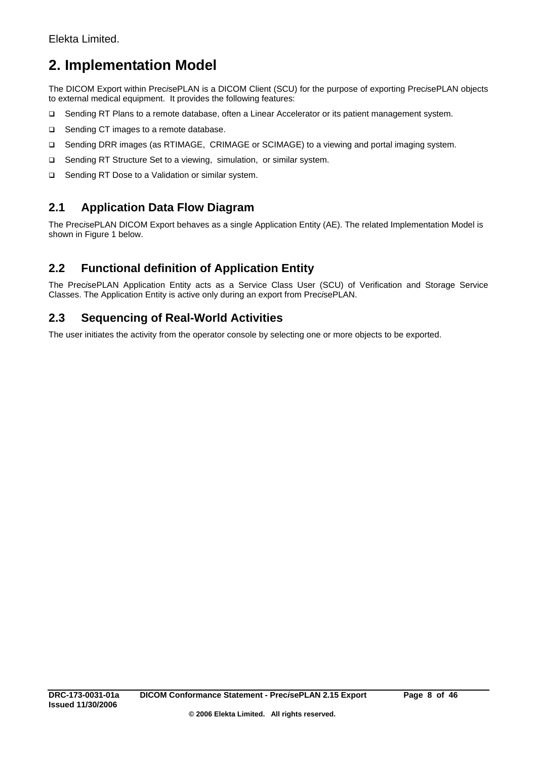# <span id="page-7-1"></span><span id="page-7-0"></span>**2. Implementation Model**

The DICOM Export within Prec*i*sePLAN is a DICOM Client (SCU) for the purpose of exporting Prec*i*sePLAN objects to external medical equipment. It provides the following features:

- Sending RT Plans to a remote database, often a Linear Accelerator or its patient management system.
- □ Sending CT images to a remote database.
- Sending DRR images (as RTIMAGE, CRIMAGE or SCIMAGE) to a viewing and portal imaging system.
- □ Sending RT Structure Set to a viewing, simulation, or similar system.
- □ Sending RT Dose to a Validation or similar system.

# **2.1 Application Data Flow Diagram**

The Prec*i*sePLAN DICOM Export behaves as a single Application Entity (AE). The related Implementation Model is shown in Figure 1 below.

# **2.2 Functional definition of Application Entity**

The Prec*i*sePLAN Application Entity acts as a Service Class User (SCU) of Verification and Storage Service Classes. The Application Entity is active only during an export from Prec*i*sePLAN.

## **2.3 Sequencing of Real-World Activities**

The user initiates the activity from the operator console by selecting one or more objects to be exported.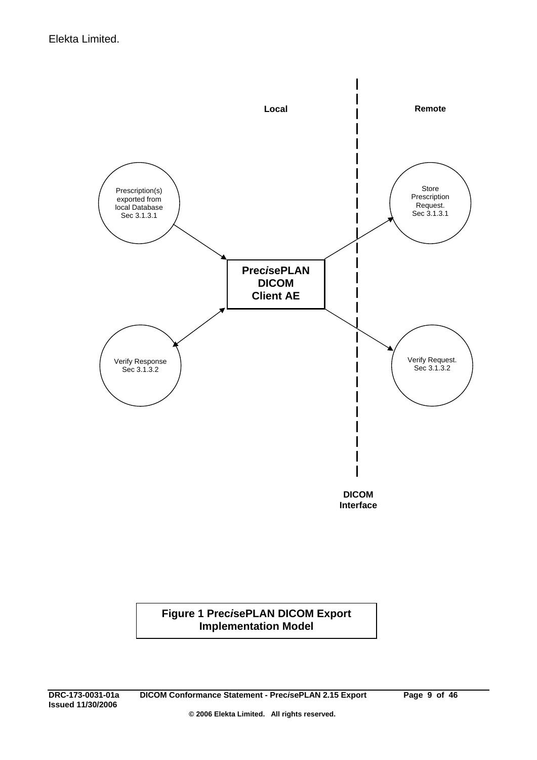

## **Figure 1 Prec***i***sePLAN DICOM Export Implementation Model**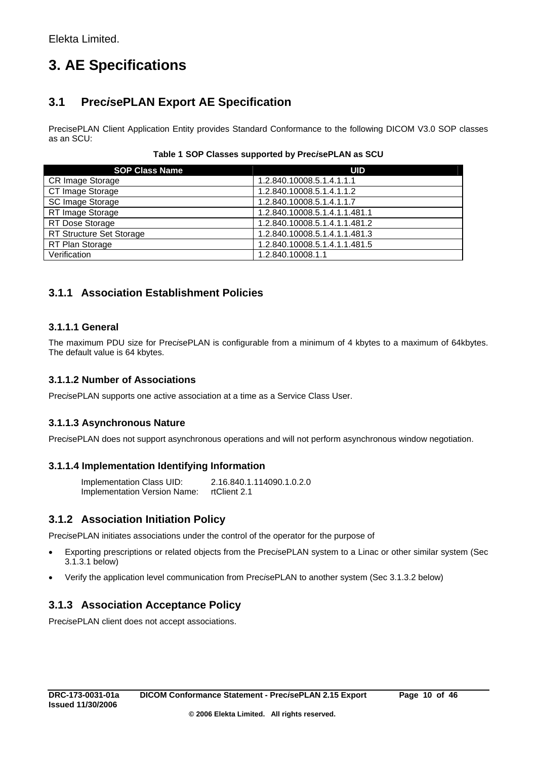# <span id="page-9-0"></span>**3. AE Specifications**

# **3.1 Prec***i***sePLAN Export AE Specification**

PrecisePLAN Client Application Entity provides Standard Conformance to the following DICOM V3.0 SOP classes as an SCU:

#### **Table 1 SOP Classes supported by Prec***i***sePLAN as SCU**

| <b>SOP Class Name</b>    | UID                           |
|--------------------------|-------------------------------|
| CR Image Storage         | 1.2.840.10008.5.1.4.1.1.1     |
| CT Image Storage         | 1.2.840.10008.5.1.4.1.1.2     |
| SC Image Storage         | 1.2.840.10008.5.1.4.1.1.7     |
| RT Image Storage         | 1.2.840.10008.5.1.4.1.1.481.1 |
| RT Dose Storage          | 1.2.840.10008.5.1.4.1.1.481.2 |
| RT Structure Set Storage | 1.2.840.10008.5.1.4.1.1.481.3 |
| RT Plan Storage          | 1.2.840.10008.5.1.4.1.1.481.5 |
| Verification             | 1.2.840.10008.1.1             |

## **3.1.1 Association Establishment Policies**

#### **3.1.1.1 General**

The maximum PDU size for Prec*i*sePLAN is configurable from a minimum of 4 kbytes to a maximum of 64kbytes. The default value is 64 kbytes.

#### **3.1.1.2 Number of Associations**

Prec*i*sePLAN supports one active association at a time as a Service Class User.

#### **3.1.1.3 Asynchronous Nature**

Prec*i*sePLAN does not support asynchronous operations and will not perform asynchronous window negotiation.

#### **3.1.1.4 Implementation Identifying Information**

Implementation Class UID: 2.16.840.1.114090.1.0.2.0<br>Implementation Version Name: rtClient 2.1 Implementation Version Name:

### **3.1.2 Association Initiation Policy**

Prec*i*sePLAN initiates associations under the control of the operator for the purpose of

- Exporting prescriptions or related objects from the Prec*i*sePLAN system to a Linac or other similar system (Sec [3.1.3.1 below](#page-10-1))
- Verify the application level communication from Prec*i*sePLAN to another system (Sec [3.1.3.2 below\)](#page-11-1)

### **3.1.3 Association Acceptance Policy**

Prec*i*sePLAN client does not accept associations.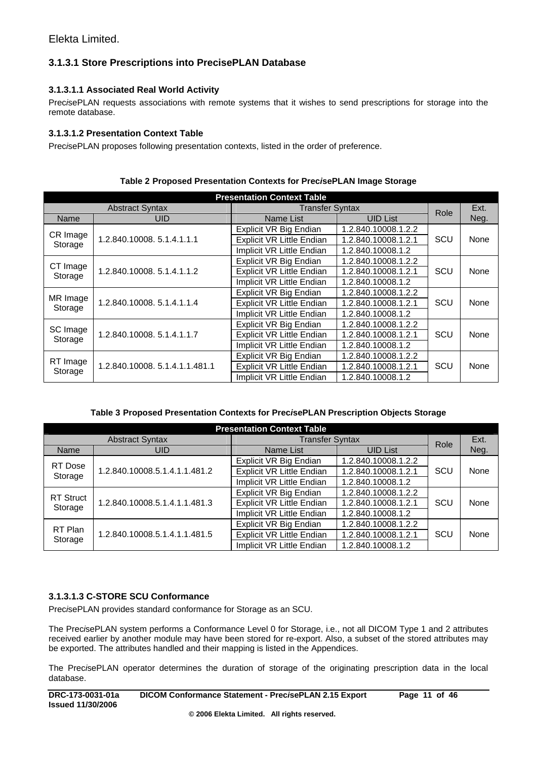### <span id="page-10-1"></span><span id="page-10-0"></span>**3.1.3.1 Store Prescriptions into PrecisePLAN Database**

#### **3.1.3.1.1 Associated Real World Activity**

Prec*i*sePLAN requests associations with remote systems that it wishes to send prescriptions for storage into the remote database.

#### **3.1.3.1.2 Presentation Context Table**

Prec*i*sePLAN proposes following presentation contexts, listed in the order of preference.

| <b>Presentation Context Table</b> |                               |                                  |                     |      |      |  |  |
|-----------------------------------|-------------------------------|----------------------------------|---------------------|------|------|--|--|
|                                   | <b>Abstract Syntax</b>        | <b>Transfer Syntax</b>           | Role                | Ext. |      |  |  |
| Name<br>UID                       |                               | Name List                        | <b>UID List</b>     |      | Neg. |  |  |
|                                   |                               | Explicit VR Big Endian           | 1.2.840.10008.1.2.2 |      |      |  |  |
| CR Image<br>Storage               | 1.2.840.10008.5.1.4.1.1.1     | <b>Explicit VR Little Endian</b> | 1.2.840.10008.1.2.1 | SCU  | None |  |  |
|                                   |                               | Implicit VR Little Endian        | 1.2.840.10008.1.2   |      |      |  |  |
|                                   |                               | Explicit VR Big Endian           | 1.2.840.10008.1.2.2 |      |      |  |  |
| CT Image<br>Storage               | 1.2.840.10008.5.1.4.1.1.2     | <b>Explicit VR Little Endian</b> | 1.2.840.10008.1.2.1 | SCU  | None |  |  |
|                                   |                               | Implicit VR Little Endian        | 1.2.840.10008.1.2   |      |      |  |  |
|                                   |                               | Explicit VR Big Endian           | 1.2.840.10008.1.2.2 |      |      |  |  |
| MR Image<br>Storage               | 1.2.840.10008.5.1.4.1.1.4     | <b>Explicit VR Little Endian</b> | 1.2.840.10008.1.2.1 | SCU  | None |  |  |
|                                   |                               | Implicit VR Little Endian        | 1.2.840.10008.1.2   |      |      |  |  |
|                                   |                               | Explicit VR Big Endian           | 1.2.840.10008.1.2.2 |      |      |  |  |
| SC Image<br>Storage               | 1.2.840.10008.5.1.4.1.1.7     | <b>Explicit VR Little Endian</b> | 1.2.840.10008.1.2.1 | SCU  | None |  |  |
|                                   |                               | Implicit VR Little Endian        | 1.2.840.10008.1.2   |      |      |  |  |
|                                   |                               | Explicit VR Big Endian           | 1.2.840.10008.1.2.2 |      |      |  |  |
| RT Image                          | 1.2.840.10008.5.1.4.1.1.481.1 | <b>Explicit VR Little Endian</b> | 1.2.840.10008.1.2.1 | SCU  | None |  |  |
| Storage                           |                               | Implicit VR Little Endian        | 1.2.840.10008.1.2   |      |      |  |  |

#### **Table 2 Proposed Presentation Contexts for Prec***i***sePLAN Image Storage**

#### **Table 3 Proposed Presentation Contexts for Prec***i***sePLAN Prescription Objects Storage**

| <b>Presentation Context Table</b> |                               |                                                |                     |      |      |  |  |
|-----------------------------------|-------------------------------|------------------------------------------------|---------------------|------|------|--|--|
|                                   | <b>Abstract Syntax</b>        | <b>Transfer Syntax</b>                         |                     | Role | Ext. |  |  |
| Name                              | <b>UID</b>                    | Name List                                      | <b>UID List</b>     |      | Neg. |  |  |
| RT Dose                           |                               | Explicit VR Big Endian                         | 1.2.840.10008.1.2.2 |      |      |  |  |
| Storage                           | 1.2.840.10008.5.1.4.1.1.481.2 | <b>Explicit VR Little Endian</b>               | 1.2.840.10008.1.2.1 | SCU  | None |  |  |
|                                   |                               | Implicit VR Little Endian<br>1.2.840.10008.1.2 |                     |      |      |  |  |
| <b>RT Struct</b>                  | 1.2.840.10008.5.1.4.1.1.481.3 | Explicit VR Big Endian                         | 1.2.840.10008.1.2.2 |      |      |  |  |
| Storage                           |                               | <b>Explicit VR Little Endian</b>               | 1.2.840.10008.1.2.1 | SCU  | None |  |  |
|                                   |                               | Implicit VR Little Endian                      | 1.2.840.10008.1.2   |      |      |  |  |
| RT Plan                           |                               | Explicit VR Big Endian                         | 1.2.840.10008.1.2.2 |      |      |  |  |
| Storage                           | 1.2.840.10008.5.1.4.1.1.481.5 | <b>Explicit VR Little Endian</b>               | 1.2.840.10008.1.2.1 | SCU  | None |  |  |
|                                   |                               | Implicit VR Little Endian                      | 1.2.840.10008.1.2   |      |      |  |  |

#### **3.1.3.1.3 C-STORE SCU Conformance**

Prec*i*sePLAN provides standard conformance for Storage as an SCU.

The Prec*i*sePLAN system performs a Conformance Level 0 for Storage, i.e., not all DICOM Type 1 and 2 attributes received earlier by another module may have been stored for re-export. Also, a subset of the stored attributes may be exported. The attributes handled and their mapping is listed in the Appendices.

The Prec*i*sePLAN operator determines the duration of storage of the originating prescription data in the local database.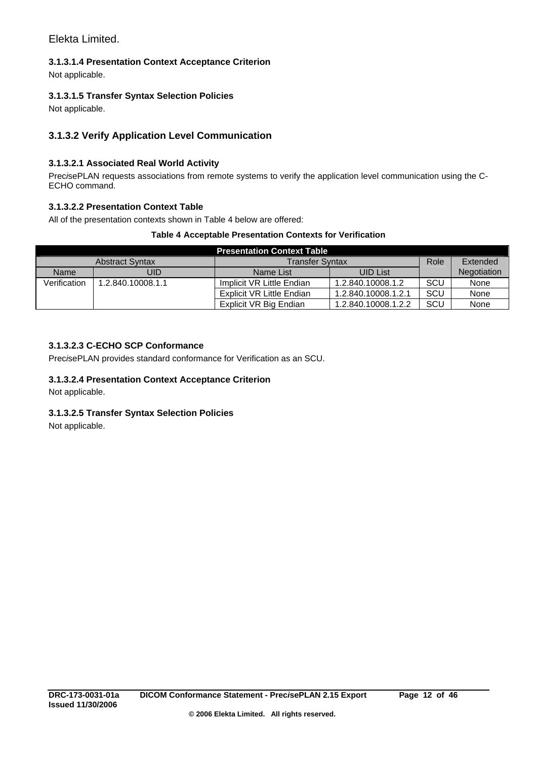#### <span id="page-11-0"></span>**3.1.3.1.4 Presentation Context Acceptance Criterion**

Not applicable.

#### **3.1.3.1.5 Transfer Syntax Selection Policies**

Not applicable.

### <span id="page-11-1"></span>**3.1.3.2 Verify Application Level Communication**

#### **3.1.3.2.1 Associated Real World Activity**

Prec*isePLAN requests associations from remote systems to verify the application level communication using the C-*ECHO command.

#### **3.1.3.2.2 Presentation Context Table**

All of the presentation contexts shown in [Table 4](#page-11-2) [below](#page-11-2) are offered:

#### **Table 4 Acceptable Presentation Contexts for Verification**

<span id="page-11-2"></span>

| <b>Presentation Context Table</b> |                        |                           |                     |             |      |  |  |  |
|-----------------------------------|------------------------|---------------------------|---------------------|-------------|------|--|--|--|
|                                   | <b>Abstract Syntax</b> | <b>Transfer Syntax</b>    | Role                | Extended    |      |  |  |  |
| Name                              | UID                    | Name List                 |                     | Negotiation |      |  |  |  |
| Verification                      | 1.2.840.10008.1.1      | Implicit VR Little Endian | 1.2.840.10008.1.2   | SCU         | None |  |  |  |
|                                   |                        | Explicit VR Little Endian | 1.2.840.10008.1.2.1 | SCU         | None |  |  |  |
|                                   |                        | Explicit VR Big Endian    | 1.2.840.10008.1.2.2 | SCU         | None |  |  |  |

#### **3.1.3.2.3 C-ECHO SCP Conformance**

Prec*i*sePLAN provides standard conformance for Verification as an SCU.

#### **3.1.3.2.4 Presentation Context Acceptance Criterion**

Not applicable.

#### **3.1.3.2.5 Transfer Syntax Selection Policies**

Not applicable.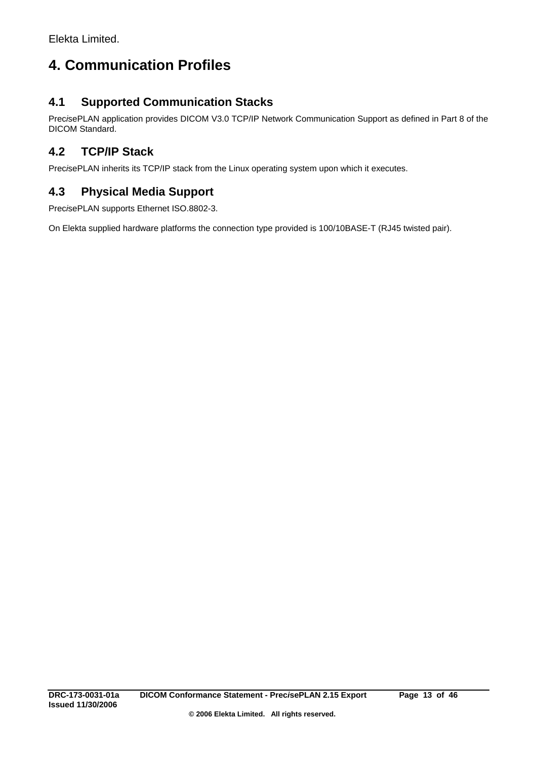# <span id="page-12-0"></span>**4. Communication Profiles**

# **4.1 Supported Communication Stacks**

Prec*i*sePLAN application provides DICOM V3.0 TCP/IP Network Communication Support as defined in Part 8 of the DICOM Standard.

# **4.2 TCP/IP Stack**

Prec*i*sePLAN inherits its TCP/IP stack from the Linux operating system upon which it executes.

# **4.3 Physical Media Support**

Prec*i*sePLAN supports Ethernet ISO.8802-3.

On Elekta supplied hardware platforms the connection type provided is 100/10BASE-T (RJ45 twisted pair).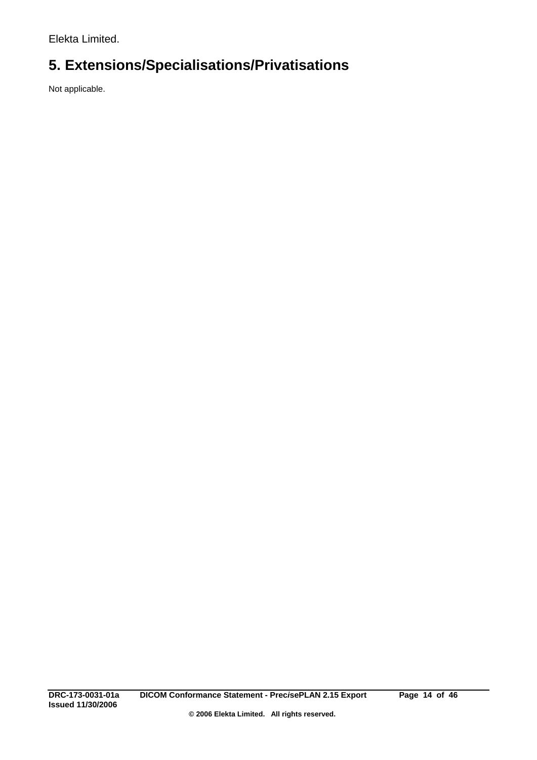# <span id="page-13-0"></span>**5. Extensions/Specialisations/Privatisations**

Not applicable.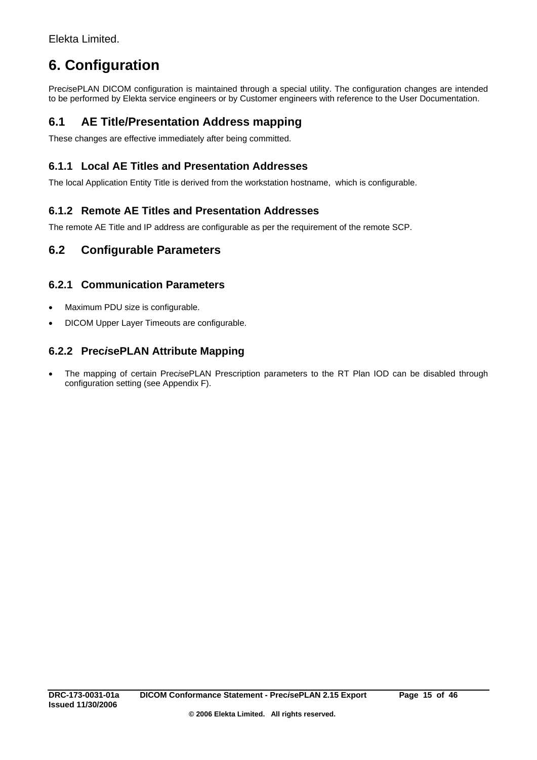# <span id="page-14-0"></span>**6. Configuration**

Prec*i*sePLAN DICOM configuration is maintained through a special utility. The configuration changes are intended to be performed by Elekta service engineers or by Customer engineers with reference to the User Documentation.

## **6.1 AE Title/Presentation Address mapping**

These changes are effective immediately after being committed.

## **6.1.1 Local AE Titles and Presentation Addresses**

The local Application Entity Title is derived from the workstation hostname, which is configurable.

### **6.1.2 Remote AE Titles and Presentation Addresses**

The remote AE Title and IP address are configurable as per the requirement of the remote SCP.

## **6.2 Configurable Parameters**

#### **6.2.1 Communication Parameters**

- Maximum PDU size is configurable.
- DICOM Upper Layer Timeouts are configurable.

## **6.2.2 Prec***i***sePLAN Attribute Mapping**

• The mapping of certain Prec*i*sePLAN Prescription parameters to the RT Plan IOD can be disabled through configuration setting (see Appendix F).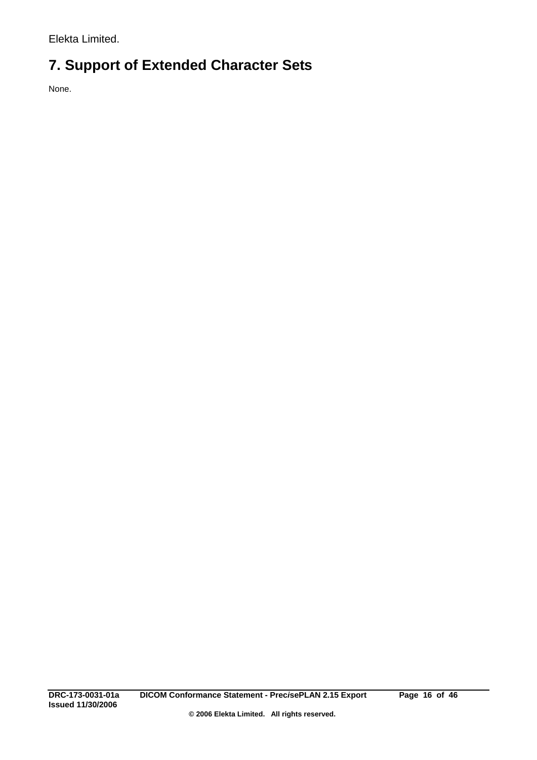# <span id="page-15-1"></span><span id="page-15-0"></span>**7. Support of Extended Character Sets**

None.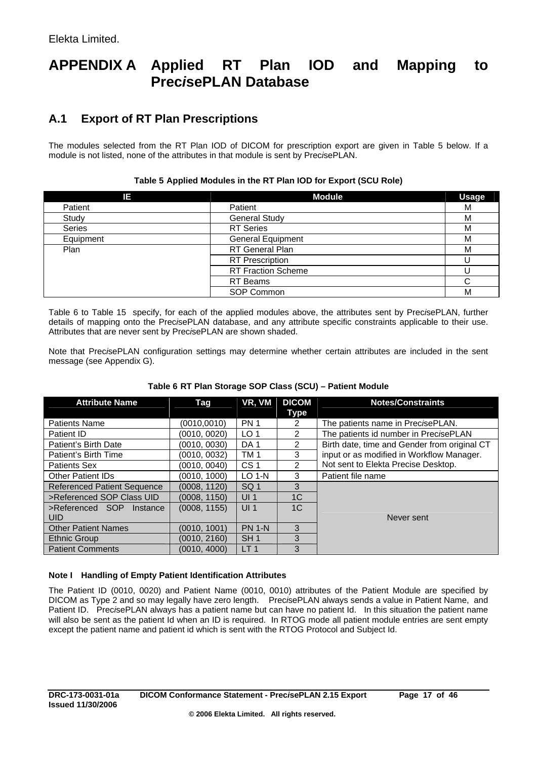# <span id="page-16-0"></span>**APPENDIX A Applied RT Plan IOD and Mapping to Prec***i***sePLAN Database**

# **A.1 Export of RT Plan Prescriptions**

The modules selected from the RT Plan IOD of DICOM for prescription export are given in [Table 5](#page-16-1) [below](#page-16-1). If a module is not listed, none of the attributes in that module is sent by Prec*i*sePLAN.

<span id="page-16-1"></span>

| 13.             | <b>Module</b>             | <b>Usage</b> |
|-----------------|---------------------------|--------------|
| Patient         | Patient                   | м            |
| Study           | <b>General Study</b>      | Μ            |
| Series          | <b>RT</b> Series          | М            |
| Equipment       | <b>General Equipment</b>  | М            |
| Plan            | RT General Plan           | М            |
|                 | <b>RT</b> Prescription    |              |
|                 | <b>RT Fraction Scheme</b> |              |
| <b>RT</b> Beams |                           | C.           |
|                 | SOP Common                | М            |

#### **Table 5 Applied Modules in the RT Plan IOD for Export (SCU Role)**

[Table 6](#page-16-2) to [Table 15](#page-25-1) specify, for each of the applied modules above, the attributes sent by Prec*i*sePLAN, further details of mapping onto the Prec*i*sePLAN database, and any attribute specific constraints applicable to their use. Attributes that are never sent by Prec*i*sePLAN are shown shaded.

Note that Prec*i*sePLAN configuration settings may determine whether certain attributes are included in the sent message (see Appendix G).

<span id="page-16-2"></span>

| <b>Attribute Name</b>              | Tag          | VR, VM          | <b>DICOM</b>   | <b>Notes/Constraints</b>                     |
|------------------------------------|--------------|-----------------|----------------|----------------------------------------------|
|                                    |              |                 | Type           |                                              |
| <b>Patients Name</b>               | (0010, 0010) | <b>PN1</b>      | 2              | The patients name in PrecisePLAN.            |
| Patient ID                         | (0010, 0020) | LO <sub>1</sub> | 2              | The patients id number in PrecisePLAN        |
| Patient's Birth Date               | (0010, 0030) | DA <sub>1</sub> | 2              | Birth date, time and Gender from original CT |
| Patient's Birth Time               | (0010, 0032) | TM <sub>1</sub> | 3              | input or as modified in Workflow Manager.    |
| <b>Patients Sex</b>                | (0010, 0040) | CS <sub>1</sub> | $\mathfrak{p}$ | Not sent to Elekta Precise Desktop.          |
| <b>Other Patient IDs</b>           | (0010, 1000) | $LO 1-N$        | 3              | Patient file name                            |
| <b>Referenced Patient Sequence</b> | (0008, 1120) | SQ <sub>1</sub> | 3              |                                              |
| >Referenced SOP Class UID          | (0008, 1150) | UI <sub>1</sub> | 1 <sup>C</sup> |                                              |
| >Referenced SOP<br>Instance        | (0008, 1155) | UI <sub>1</sub> | 1 <sup>C</sup> |                                              |
| <b>UID</b>                         |              |                 |                | Never sent                                   |
| <b>Other Patient Names</b>         | (0010, 1001) | <b>PN 1-N</b>   | 3              |                                              |
| <b>Ethnic Group</b>                | (0010, 2160) | SH <sub>1</sub> | 3              |                                              |
| <b>Patient Comments</b>            | (0010, 4000) | LT <sub>1</sub> | 3              |                                              |

#### **Table 6 RT Plan Storage SOP Class (SCU) – Patient Module**

#### **Note I Handling of Empty Patient Identification Attributes**

The Patient ID (0010, 0020) and Patient Name (0010, 0010) attributes of the Patient Module are specified by DICOM as Type 2 and so may legally have zero length. Prec*i*sePLAN always sends a value in Patient Name, and Patient ID. Prec*i*sePLAN always has a patient name but can have no patient Id. In this situation the patient name will also be sent as the patient Id when an ID is required. In RTOG mode all patient module entries are sent empty except the patient name and patient id which is sent with the RTOG Protocol and Subject Id.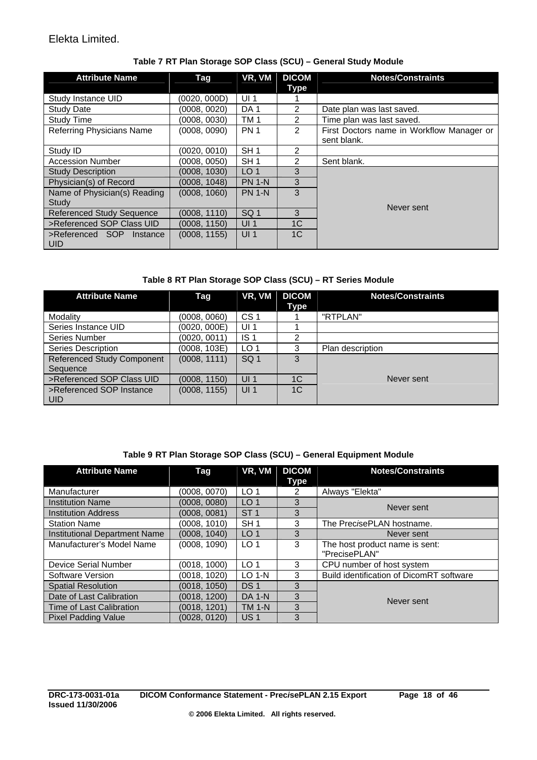<span id="page-17-0"></span>

| <b>Attribute Name</b>                  | Tag          | VR, VM          | <b>DICOM</b><br>Type | <b>Notes/Constraints</b>                                 |
|----------------------------------------|--------------|-----------------|----------------------|----------------------------------------------------------|
| Study Instance UID                     | (0020, 000D) | UI <sub>1</sub> |                      |                                                          |
| Study Date                             | (0008, 0020) | DA <sub>1</sub> | 2                    | Date plan was last saved.                                |
| <b>Study Time</b>                      | (0008, 0030) | TM <sub>1</sub> | $\overline{2}$       | Time plan was last saved.                                |
| <b>Referring Physicians Name</b>       | (0008, 0090) | PN <sub>1</sub> | $\mathcal{P}$        | First Doctors name in Workflow Manager or<br>sent blank. |
| Study ID                               | (0020.0010)  | SH <sub>1</sub> | 2                    |                                                          |
| <b>Accession Number</b>                | (0008, 0050) | SH <sub>1</sub> | 2                    | Sent blank.                                              |
| <b>Study Description</b>               | (0008, 1030) | LO <sub>1</sub> | 3                    |                                                          |
| Physician(s) of Record                 | (0008, 1048) | <b>PN 1-N</b>   | 3                    |                                                          |
| Name of Physician(s) Reading           | (0008, 1060) | <b>PN 1-N</b>   | 3                    |                                                          |
| Study                                  |              |                 |                      | Never sent                                               |
| <b>Referenced Study Sequence</b>       | (0008, 1110) | SQ <sub>1</sub> | 3                    |                                                          |
| >Referenced SOP Class UID              | (0008, 1150) | UI <sub>1</sub> | 1 <sup>C</sup>       |                                                          |
| >Referenced SOP Instance<br><b>UID</b> | (0008, 1155) | UI <sub>1</sub> | 1 <sub>C</sub>       |                                                          |

#### **Table 7 RT Plan Storage SOP Class (SCU) – General Study Module**

#### **Table 8 RT Plan Storage SOP Class (SCU) – RT Series Module**

| <b>Attribute Name</b>             | Taq          | VR, VM          | <b>DICOM</b> | <b>Notes/Constraints</b> |
|-----------------------------------|--------------|-----------------|--------------|--------------------------|
|                                   |              |                 | Type         |                          |
| Modality                          | (0008, 0060) | CS <sub>1</sub> |              | "RTPLAN"                 |
| Series Instance UID               | (0020, 000E) | UI <sub>1</sub> |              |                          |
| Series Number                     | (0020, 0011) | IS <sub>1</sub> | ົ            |                          |
| <b>Series Description</b>         | (0008, 103E) | LO <sub>1</sub> | 3            | Plan description         |
| <b>Referenced Study Component</b> | (0008, 1111) | SQ <sub>1</sub> | 3            |                          |
| Sequence                          |              |                 |              |                          |
| >Referenced SOP Class UID         | (0008, 1150) | UI <sub>1</sub> | 1C           | Never sent               |
| >Referenced SOP Instance          | (0008, 1155) | UI <sub>1</sub> | 1C           |                          |
| UID                               |              |                 |              |                          |

#### **Table 9 RT Plan Storage SOP Class (SCU) – General Equipment Module**

| <b>Attribute Name</b>         | Tag          | VR, VM          | <b>DICOM</b><br>Type | <b>Notes/Constraints</b>                        |
|-------------------------------|--------------|-----------------|----------------------|-------------------------------------------------|
| Manufacturer                  | (0008, 0070) | LO <sub>1</sub> | $\overline{2}$       | Always "Elekta"                                 |
| <b>Institution Name</b>       | (0008, 0080) | LO <sub>1</sub> | 3                    | Never sent                                      |
| <b>Institution Address</b>    | (0008, 0081) | ST <sub>1</sub> | 3                    |                                                 |
| <b>Station Name</b>           | (0008, 1010) | SH <sub>1</sub> | 3                    | The PrecisePLAN hostname.                       |
| Institutional Department Name | (0008, 1040) | LO <sub>1</sub> | 3                    | Never sent                                      |
| Manufacturer's Model Name     | (0008, 1090) | LO <sub>1</sub> | 3                    | The host product name is sent:<br>"PrecisePLAN" |
| Device Serial Number          | (0018, 1000) | LO <sub>1</sub> | 3                    | CPU number of host system                       |
| Software Version              | (0018, 1020) | $LO 1-N$        | 3                    | Build identification of DicomRT software        |
| <b>Spatial Resolution</b>     | (0018, 1050) | DS <sub>1</sub> | 3                    |                                                 |
| Date of Last Calibration      | (0018, 1200) | <b>DA 1-N</b>   | 3                    | Never sent                                      |
| Time of Last Calibration      | (0018, 1201) | <b>TM 1-N</b>   | 3                    |                                                 |
| <b>Pixel Padding Value</b>    | (0028, 0120) | US <sub>1</sub> | 3                    |                                                 |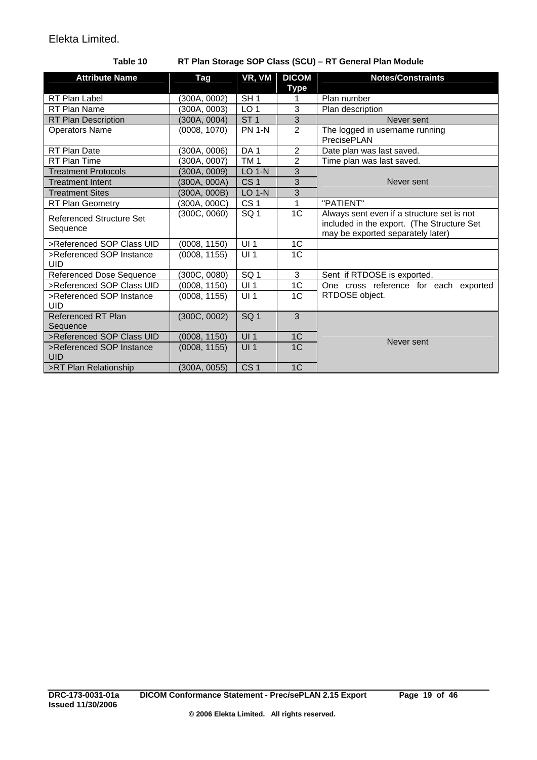#### **Table 10 RT Plan Storage SOP Class (SCU) – RT General Plan Module**

<span id="page-18-0"></span>

| <b>Attribute Name</b>                       | Tag          | VR, VM          | <b>DICOM</b>   | <b>Notes/Constraints</b>                                                                                                      |
|---------------------------------------------|--------------|-----------------|----------------|-------------------------------------------------------------------------------------------------------------------------------|
| RT Plan Label                               | (300A, 0002) | SH1             | <b>Type</b>    | Plan number                                                                                                                   |
| RT Plan Name                                |              | LO <sub>1</sub> | $\overline{3}$ |                                                                                                                               |
|                                             | (300A, 0003) |                 |                | Plan description                                                                                                              |
| <b>RT Plan Description</b>                  | (300A, 0004) | ST <sub>1</sub> | 3              | Never sent                                                                                                                    |
| <b>Operators Name</b>                       | (0008, 1070) | <b>PN 1-N</b>   | $\overline{2}$ | The logged in username running<br>PrecisePLAN                                                                                 |
| RT Plan Date                                | (300A, 0006) | DA <sub>1</sub> | $\overline{2}$ | Date plan was last saved.                                                                                                     |
| RT Plan Time                                | (300A, 0007) | TM <sub>1</sub> | $\overline{2}$ | Time plan was last saved.                                                                                                     |
| <b>Treatment Protocols</b>                  | (300A, 0009) | $LO$ 1-N        | 3              |                                                                                                                               |
| <b>Treatment Intent</b>                     | (300A, 000A) | CS <sub>1</sub> | 3              | Never sent                                                                                                                    |
| <b>Treatment Sites</b>                      | (300A, 000B) | <b>LO 1-N</b>   | 3              |                                                                                                                               |
| RT Plan Geometry                            | (300A, 000C) | CS <sub>1</sub> | 1              | "PATIENT"                                                                                                                     |
| <b>Referenced Structure Set</b><br>Sequence | (300C, 0060) | SQ <sub>1</sub> | 1C             | Always sent even if a structure set is not<br>included in the export. (The Structure Set<br>may be exported separately later) |
| >Referenced SOP Class UID                   | (0008, 1150) | UI <sub>1</sub> | 1C             |                                                                                                                               |
| >Referenced SOP Instance<br>UID             | (0008, 1155) | UI <sub>1</sub> | 1 <sup>C</sup> |                                                                                                                               |
| Referenced Dose Sequence                    | (300C, 0080) | SQ <sub>1</sub> | 3              | Sent if RTDOSE is exported.                                                                                                   |
| >Referenced SOP Class UID                   | (0008, 1150) | UI <sub>1</sub> | 1 <sub>C</sub> | One cross reference for each exported                                                                                         |
| >Referenced SOP Instance<br><b>UID</b>      | (0008, 1155) | UI <sub>1</sub> | 1 <sub>C</sub> | RTDOSE object.                                                                                                                |
| <b>Referenced RT Plan</b><br>Sequence       | (300C, 0002) | SQ <sub>1</sub> | $\overline{3}$ |                                                                                                                               |
| >Referenced SOP Class UID                   | (0008, 1150) | UI <sub>1</sub> | 1C             |                                                                                                                               |
| >Referenced SOP Instance<br>UID             | (0008, 1155) | UI1             | 1C             | Never sent                                                                                                                    |
| >RT Plan Relationship                       | (300A, 0055) | CS <sub>1</sub> | 1C             |                                                                                                                               |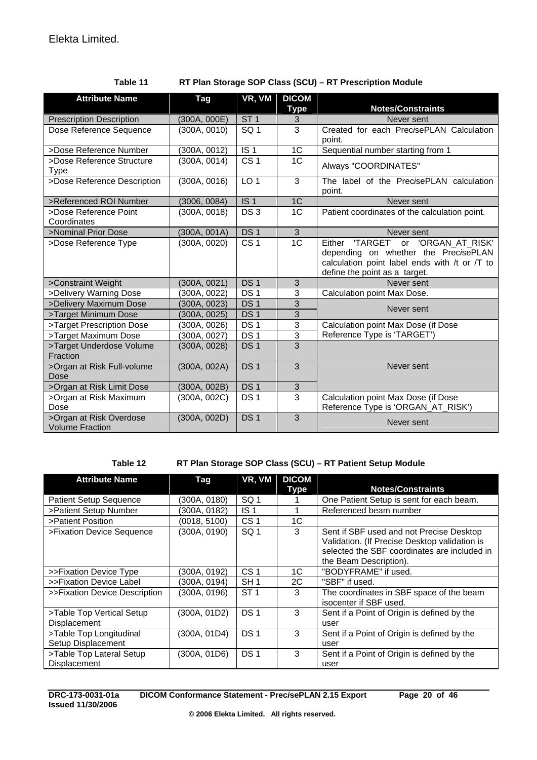<span id="page-19-0"></span>

| <b>Attribute Name</b>                             | <b>Tag</b>   | VR, VM            | <b>DICOM</b><br><b>Type</b> | <b>Notes/Constraints</b>                                                                                                                                     |
|---------------------------------------------------|--------------|-------------------|-----------------------------|--------------------------------------------------------------------------------------------------------------------------------------------------------------|
| <b>Prescription Description</b>                   | (300A, 000E) | ST <sub>1</sub>   | $\ensuremath{\mathsf{3}}$   | Never sent                                                                                                                                                   |
| Dose Reference Sequence                           | (300A, 0010) | SQ <sub>1</sub>   | $\overline{3}$              | Created for each Prec <i>i</i> sePLAN Calculation<br>point.                                                                                                  |
| >Dose Reference Number                            | (300A, 0012) | $\overline{1S}$ 1 | $\overline{1C}$             | Sequential number starting from 1                                                                                                                            |
| >Dose Reference Structure<br><b>Type</b>          | (300A, 0014) | CS <sub>1</sub>   | 1 <sub>C</sub>              | Always "COORDINATES"                                                                                                                                         |
| >Dose Reference Description                       | (300A, 0016) | LO <sub>1</sub>   | $\overline{3}$              | The label of the PrecisePLAN calculation<br>point.                                                                                                           |
| >Referenced ROI Number                            | (3006, 0084) | IS <sub>1</sub>   | 1 <sub>C</sub>              | Never sent                                                                                                                                                   |
| >Dose Reference Point<br>Coordinates              | (300A, 0018) | DS <sub>3</sub>   | 1 <sub>C</sub>              | Patient coordinates of the calculation point.                                                                                                                |
| >Nominal Prior Dose                               | (300A, 001A) | DS <sub>1</sub>   | 3                           | Never sent                                                                                                                                                   |
| >Dose Reference Type                              | (300A, 0020) | CS <sub>1</sub>   | 1 <sup>C</sup>              | Either 'TARGET' or 'ORGAN AT RISK'<br>depending on whether the PrecisePLAN<br>calculation point label ends with /t or /T to<br>define the point as a target. |
| >Constraint Weight                                | (300A, 0021) | DS <sub>1</sub>   | 3                           | Never sent                                                                                                                                                   |
| >Delivery Warning Dose                            | (300A, 0022) | DS <sub>1</sub>   | 3                           | Calculation point Max Dose.                                                                                                                                  |
| >Delivery Maximum Dose                            | (300A, 0023) | DS <sub>1</sub>   | 3                           | Never sent                                                                                                                                                   |
| >Target Minimum Dose                              | (300A, 0025) | DS <sub>1</sub>   | 3                           |                                                                                                                                                              |
| >Target Prescription Dose                         | (300A, 0026) | DS <sub>1</sub>   | 3                           | Calculation point Max Dose (if Dose                                                                                                                          |
| >Target Maximum Dose                              | (300A, 0027) | DS <sub>1</sub>   | $\overline{3}$              | Reference Type is 'TARGET')                                                                                                                                  |
| >Target Underdose Volume<br>Fraction              | (300A, 0028) | DS <sub>1</sub>   | 3                           |                                                                                                                                                              |
| >Organ at Risk Full-volume<br>Dose                | (300A, 002A) | DS <sub>1</sub>   | 3                           | Never sent                                                                                                                                                   |
| >Organ at Risk Limit Dose                         | (300A, 002B) | DS <sub>1</sub>   | $\mathfrak{S}$              |                                                                                                                                                              |
| >Organ at Risk Maximum<br>Dose                    | (300A, 002C) | DS <sub>1</sub>   | 3                           | Calculation point Max Dose (if Dose<br>Reference Type is 'ORGAN_AT_RISK')                                                                                    |
| >Organ at Risk Overdose<br><b>Volume Fraction</b> | (300A, 002D) | DS <sub>1</sub>   | $\overline{3}$              | Never sent                                                                                                                                                   |

**Table 11 RT Plan Storage SOP Class (SCU) – RT Prescription Module** 

**Table 12 RT Plan Storage SOP Class (SCU) – RT Patient Setup Module** 

| <b>Attribute Name</b>         | <b>Tag</b>   | VR, VM          | <b>DICOM</b> |                                               |
|-------------------------------|--------------|-----------------|--------------|-----------------------------------------------|
|                               |              |                 | <b>Type</b>  | <b>Notes/Constraints</b>                      |
| <b>Patient Setup Sequence</b> | (300A, 0180) | SQ 1            |              | One Patient Setup is sent for each beam.      |
| >Patient Setup Number         | (300A, 0182) | IS <sub>1</sub> |              | Referenced beam number                        |
| >Patient Position             | (0018, 5100) | CS <sub>1</sub> | 1C           |                                               |
| >Fixation Device Sequence     | (300A, 0190) | SQ 1            | 3            | Sent if SBF used and not Precise Desktop      |
|                               |              |                 |              | Validation. (If Precise Desktop validation is |
|                               |              |                 |              | selected the SBF coordinates are included in  |
|                               |              |                 |              | the Beam Description).                        |
| >>Fixation Device Type        | (300A, 0192) | CS <sub>1</sub> | 1C           | "BODYFRAME" if used.                          |
| >>Fixation Device Label       | (300A, 0194) | SH <sub>1</sub> | 2C           | "SBF" if used.                                |
| >>Fixation Device Description | (300A, 0196) | ST <sub>1</sub> | 3            | The coordinates in SBF space of the beam      |
|                               |              |                 |              | isocenter if SBF used.                        |
| >Table Top Vertical Setup     | (300A, 01D2) | DS <sub>1</sub> | 3            | Sent if a Point of Origin is defined by the   |
| Displacement                  |              |                 |              | user                                          |
| >Table Top Longitudinal       | (300A, 01D4) | DS <sub>1</sub> | 3            | Sent if a Point of Origin is defined by the   |
| Setup Displacement            |              |                 |              | user                                          |
| >Table Top Lateral Setup      | (300A, 01D6) | DS <sub>1</sub> | 3            | Sent if a Point of Origin is defined by the   |
| Displacement                  |              |                 |              | user                                          |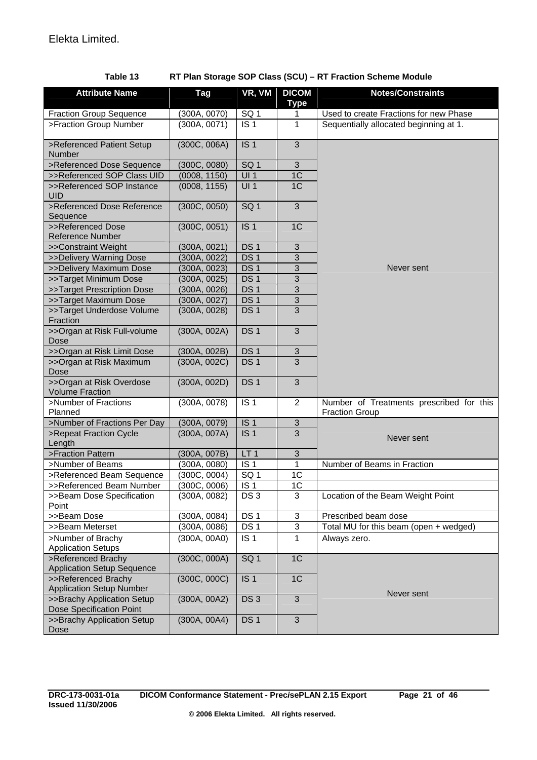<span id="page-20-0"></span>

| <b>Attribute Name</b>                                   | Tag          | VR, VM            | <b>DICOM</b>   | <b>Notes/Constraints</b>                                          |
|---------------------------------------------------------|--------------|-------------------|----------------|-------------------------------------------------------------------|
|                                                         |              |                   | <b>Type</b>    |                                                                   |
| <b>Fraction Group Sequence</b>                          | (300A, 0070) | SQ <sub>1</sub>   | 1              | Used to create Fractions for new Phase                            |
| >Fraction Group Number                                  | (300A, 0071) | IS <sub>1</sub>   | 1              | Sequentially allocated beginning at 1.                            |
| >Referenced Patient Setup                               | (300C, 006A) | IS <sub>1</sub>   | 3              |                                                                   |
| Number                                                  |              |                   |                |                                                                   |
| >Referenced Dose Sequence                               | (300C, 0080) | SQ <sub>1</sub>   | $\mathfrak{B}$ |                                                                   |
| >>Referenced SOP Class UID                              | (0008, 1150) | UI1               | 1C             |                                                                   |
| >>Referenced SOP Instance<br><b>UID</b>                 | (0008, 1155) | UI1               | 1 <sup>C</sup> |                                                                   |
| >Referenced Dose Reference<br>Sequence                  | (300C, 0050) | SQ <sub>1</sub>   | 3              |                                                                   |
| >>Referenced Dose<br>Reference Number                   | (300C, 0051) | IS <sub>1</sub>   | 1C             |                                                                   |
| >>Constraint Weight                                     | (300A, 0021) | DS <sub>1</sub>   | 3              |                                                                   |
| >>Delivery Warning Dose                                 | (300A, 0022) | DS <sub>1</sub>   | 3              |                                                                   |
| >>Delivery Maximum Dose                                 | (300A, 0023) | DS <sub>1</sub>   | 3              | Never sent                                                        |
| >>Target Minimum Dose                                   | (300A, 0025) | DS <sub>1</sub>   | 3              |                                                                   |
| >>Target Prescription Dose                              | (300A, 0026) | DS <sub>1</sub>   | 3              |                                                                   |
| >>Target Maximum Dose                                   | (300A, 0027) | DS <sub>1</sub>   | 3              |                                                                   |
| >>Target Underdose Volume<br>Fraction                   | (300A, 0028) | DS <sub>1</sub>   | 3              |                                                                   |
| >>Organ at Risk Full-volume<br>Dose                     | (300A, 002A) | DS <sub>1</sub>   | 3              |                                                                   |
| >>Organ at Risk Limit Dose                              | (300A, 002B) | DS <sub>1</sub>   | 3              |                                                                   |
| >>Organ at Risk Maximum<br>Dose                         | (300A, 002C) | DS <sub>1</sub>   | 3              |                                                                   |
| >>Organ at Risk Overdose<br><b>Volume Fraction</b>      | (300A, 002D) | DS <sub>1</sub>   | 3              |                                                                   |
| >Number of Fractions<br>Planned                         | (300A, 0078) | IS <sub>1</sub>   | $\overline{2}$ | Number of Treatments prescribed for this<br><b>Fraction Group</b> |
| >Number of Fractions Per Day                            | (300A, 0079) | IS <sub>1</sub>   | $\mathfrak{S}$ |                                                                   |
| >Repeat Fraction Cycle<br>Length                        | (300A, 007A) | IS <sub>1</sub>   | 3              | Never sent                                                        |
| >Fraction Pattern                                       | (300A, 007B) | LT <sub>1</sub>   | $\mathfrak{S}$ |                                                                   |
| >Number of Beams                                        | (300A, 0080) | IS <sub>1</sub>   | 1              | Number of Beams in Fraction                                       |
| >Referenced Beam Sequence                               | (300C, 0004) | SQ <sub>1</sub>   | 1C             |                                                                   |
| >>Referenced Beam Number                                | (300C, 0006) | $\overline{1S}$ 1 | 1C             |                                                                   |
| >>Beam Dose Specification<br>Point                      | (300A, 0082) | DS3               | 3              | Location of the Beam Weight Point                                 |
| >>Beam Dose                                             | (300A, 0084) | DS <sub>1</sub>   | 3              | Prescribed beam dose                                              |
| >>Beam Meterset                                         | (300A, 0086) | DS <sub>1</sub>   | $\overline{3}$ | Total MU for this beam (open + wedged)                            |
| >Number of Brachy<br><b>Application Setups</b>          | (300A, 00A0) | IS <sub>1</sub>   | $\mathbf{1}$   | Always zero.                                                      |
| >Referenced Brachy<br><b>Application Setup Sequence</b> | (300C, 000A) | SQ <sub>1</sub>   | 1C             |                                                                   |
| >>Referenced Brachy<br><b>Application Setup Number</b>  | (300C, 000C) | IS <sub>1</sub>   | 1C             |                                                                   |
| >>Brachy Application Setup<br>Dose Specification Point  | (300A, 00A2) | DS <sub>3</sub>   | 3              | Never sent                                                        |
| >>Brachy Application Setup<br>Dose                      | (300A, 00A4) | DS <sub>1</sub>   | 3              |                                                                   |

### **Table 13 RT Plan Storage SOP Class (SCU) – RT Fraction Scheme Module**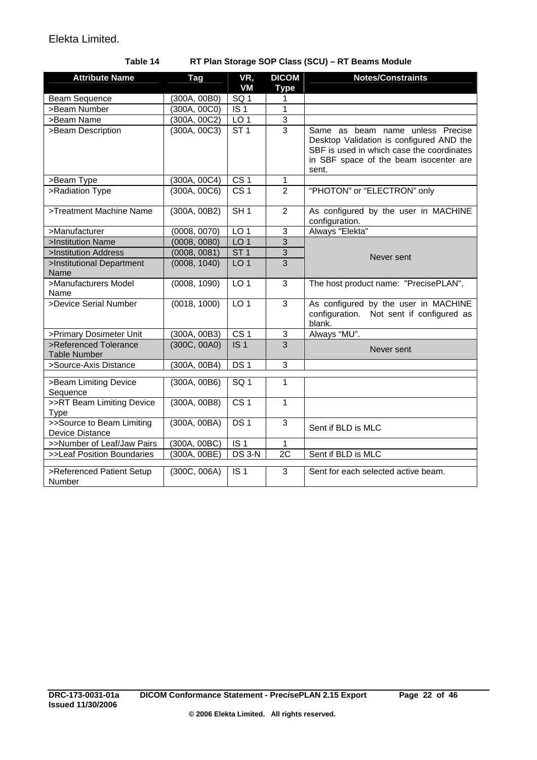<span id="page-21-0"></span>

| <b>Attribute Name</b>                               | Tag          | VR,<br><b>VM</b>         | <b>DICOM</b><br><b>Type</b> | <b>Notes/Constraints</b>                                                                                                                                                     |
|-----------------------------------------------------|--------------|--------------------------|-----------------------------|------------------------------------------------------------------------------------------------------------------------------------------------------------------------------|
| <b>Beam Sequence</b>                                | (300A, 00B0) | SG <sub>1</sub>          | 1                           |                                                                                                                                                                              |
| >Beam Number                                        | (300A, 00C0) | IS <sub>1</sub>          | $\mathbf{1}$                |                                                                                                                                                                              |
| >Beam Name                                          | (300A, 00C2) | LO <sub>1</sub>          | $\overline{3}$              |                                                                                                                                                                              |
| >Beam Description                                   | (300A, 00C3) | ST <sub>1</sub>          | 3                           | Same as beam name unless Precise<br>Desktop Validation is configured AND the<br>SBF is used in which case the coordinates<br>in SBF space of the beam isocenter are<br>sent. |
| >Beam Type                                          | (300A, 00C4) | CS <sub>1</sub>          | 1                           |                                                                                                                                                                              |
| >Radiation Type                                     | (300A, 00C6) | CS <sub>1</sub>          | $\overline{2}$              | "PHOTON" or "ELECTRON" only                                                                                                                                                  |
| >Treatment Machine Name                             | (300A, 00B2) | $\overline{\text{SH }1}$ | 2                           | As configured by the user in MACHINE<br>configuration.                                                                                                                       |
| >Manufacturer                                       | (0008, 0070) | LO <sub>1</sub>          | $\overline{3}$              | Always "Elekta"                                                                                                                                                              |
| >Institution Name                                   | (0008, 0080) | LO <sub>1</sub>          | 3                           |                                                                                                                                                                              |
| >Institution Address                                | (0008, 0081) | ST <sub>1</sub>          | 3                           | Never sent                                                                                                                                                                   |
| >Institutional Department<br>Name                   | (0008, 1040) | LO <sub>1</sub>          | 3                           |                                                                                                                                                                              |
| >Manufacturers Model<br>Name                        | (0008, 1090) | LO <sub>1</sub>          | 3                           | The host product name: "PrecisePLAN",                                                                                                                                        |
| >Device Serial Number                               | (0018, 1000) | LO <sub>1</sub>          | 3                           | As configured by the user in MACHINE<br>configuration. Not sent if configured as<br>blank.                                                                                   |
| >Primary Dosimeter Unit                             | (300A, 00B3) | CS <sub>1</sub>          | 3                           | Always "MU".                                                                                                                                                                 |
| >Referenced Tolerance<br><b>Table Number</b>        | (300C, 00A0) | IS <sub>1</sub>          | 3                           | Never sent                                                                                                                                                                   |
| >Source-Axis Distance                               | (300A, 00B4) | DS <sub>1</sub>          | 3                           |                                                                                                                                                                              |
| >Beam Limiting Device<br>Sequence                   | (300A, 00B6) | SQ <sub>1</sub>          | 1                           |                                                                                                                                                                              |
| >>RT Beam Limiting Device<br><b>Type</b>            | (300A, 00B8) | $\overline{CS}$ 1        | $\mathbf{1}$                |                                                                                                                                                                              |
| >>Source to Beam Limiting<br><b>Device Distance</b> | (300A, 00BA) | DS <sub>1</sub>          | 3                           | Sent if BLD is MLC                                                                                                                                                           |
| >>Number of Leaf/Jaw Pairs                          | (300A, 00BC) | $\overline{1S}$ 1        | $\mathbf{1}$                |                                                                                                                                                                              |
| >>Leaf Position Boundaries                          | (300A, 00BE) | DS 3-N                   | 2C                          | Sent if BLD is MLC                                                                                                                                                           |
| >Referenced Patient Setup<br>Number                 | (300C, 006A) | IS <sub>1</sub>          | 3                           | Sent for each selected active beam.                                                                                                                                          |

### **Table 14 RT Plan Storage SOP Class (SCU) – RT Beams Module**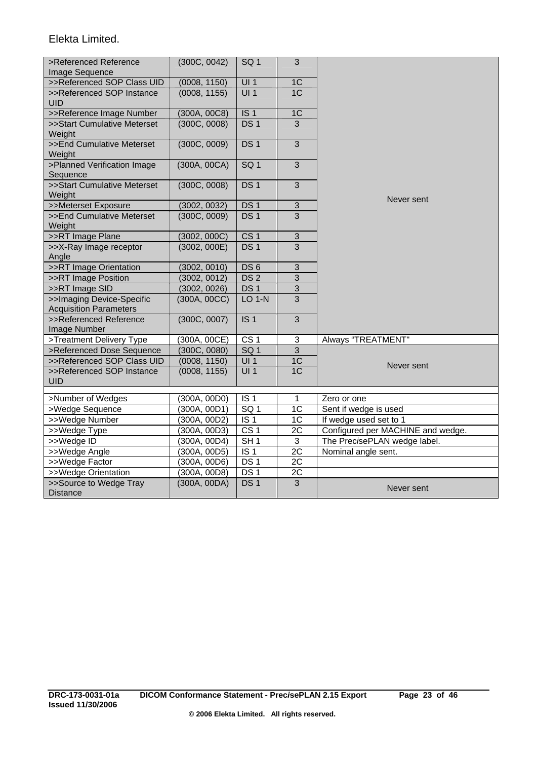| >Referenced Reference                                      | (300C, 0042) | SQ <sub>1</sub>               | 3                    |                                   |
|------------------------------------------------------------|--------------|-------------------------------|----------------------|-----------------------------------|
| Image Sequence                                             |              |                               |                      |                                   |
| >>Referenced SOP Class UID                                 | (0008, 1150) | UI <sub>1</sub>               | 1 <sup>C</sup>       |                                   |
| >>Referenced SOP Instance                                  | (0008, 1155) | UI1                           | 1C                   |                                   |
| <b>UID</b>                                                 |              |                               |                      |                                   |
| >>Reference Image Number                                   | (300A, 00C8) | IS <sub>1</sub>               | 1C<br>$\overline{3}$ |                                   |
| >>Start Cumulative Meterset<br>Weight                      | (300C, 0008) | DS <sub>1</sub>               |                      |                                   |
| >>End Cumulative Meterset<br>Weight                        | (300C, 0009) | DS <sub>1</sub>               | 3                    |                                   |
| >Planned Verification Image<br>Sequence                    | (300A, 00CA) | SQ <sub>1</sub>               | 3                    |                                   |
| >>Start Cumulative Meterset<br>Weight                      | (300C, 0008) | DS <sub>1</sub>               | 3                    |                                   |
| >>Meterset Exposure                                        | (3002, 0032) | DS <sub>1</sub>               | 3                    | Never sent                        |
| >>End Cumulative Meterset<br>Weight                        | (300C, 0009) | DS <sub>1</sub>               | 3                    |                                   |
| >>RT Image Plane                                           | (3002, 000C) | CS <sub>1</sub>               | $\mathfrak{S}$       |                                   |
| >>X-Ray Image receptor                                     | (3002, 000E) | DS <sub>1</sub>               | $\overline{3}$       |                                   |
| Angle                                                      |              |                               |                      |                                   |
| >>RT Image Orientation                                     | (3002, 0010) | DS <sub>6</sub>               | 3                    |                                   |
| >>RT Image Position                                        | (3002, 0012) | DS <sub>2</sub>               | 3                    |                                   |
| >>RT Image SID                                             | (3002, 0026) | DS <sub>1</sub>               | 3                    |                                   |
| >>Imaging Device-Specific<br><b>Acquisition Parameters</b> | (300A, 00CC) | <b>LO 1-N</b>                 | 3                    |                                   |
| >>Referenced Reference<br>Image Number                     | (300C, 0007) | IS <sub>1</sub>               | 3                    |                                   |
| >Treatment Delivery Type                                   | (300A, 00CE) | CS <sub>1</sub>               | $\sqrt{3}$           | Always "TREATMENT"                |
| >Referenced Dose Sequence                                  | (300C, 0080) | SQ <sub>1</sub>               | $\overline{3}$       |                                   |
| >>Referenced SOP Class UID                                 | (0008, 1150) | UI1                           | 1C                   |                                   |
| >>Referenced SOP Instance<br><b>UID</b>                    | (0008, 1155) | UI1                           | 1 <sup>C</sup>       | Never sent                        |
| >Number of Wedges                                          | (300A, 00D0) | IS <sub>1</sub>               | 1                    | Zero or one                       |
| >Wedge Sequence                                            | (300A, 00D1) | SQ <sub>1</sub>               | 1C                   | Sent if wedge is used             |
| >>Wedge Number                                             | (300A, 00D2) | IS <sub>1</sub>               | 1 <sup>C</sup>       | If wedge used set to 1            |
| >>Wedge Type                                               | (300A, 00D3) | $\overline{C}$ S <sub>1</sub> | 2C                   | Configured per MACHINE and wedge. |
| >>Wedge ID                                                 | (300A, 00D4) | SH <sub>1</sub>               | $\sqrt{3}$           | The PrecisePLAN wedge label.      |
| >>Wedge Angle                                              | (300A, 00D5) | IS <sub>1</sub>               | $\overline{2C}$      | Nominal angle sent.               |
| >>Wedge Factor                                             | (300A, 00D6) | DS <sub>1</sub>               | 2C                   |                                   |
| >>Wedge Orientation                                        | (300A, 00D8) | DS <sub>1</sub>               | 2C                   |                                   |
| >>Source to Wedge Tray                                     | (300A, 00DA) | DS <sub>1</sub>               | 3                    | Never sent                        |
| <b>Distance</b>                                            |              |                               |                      |                                   |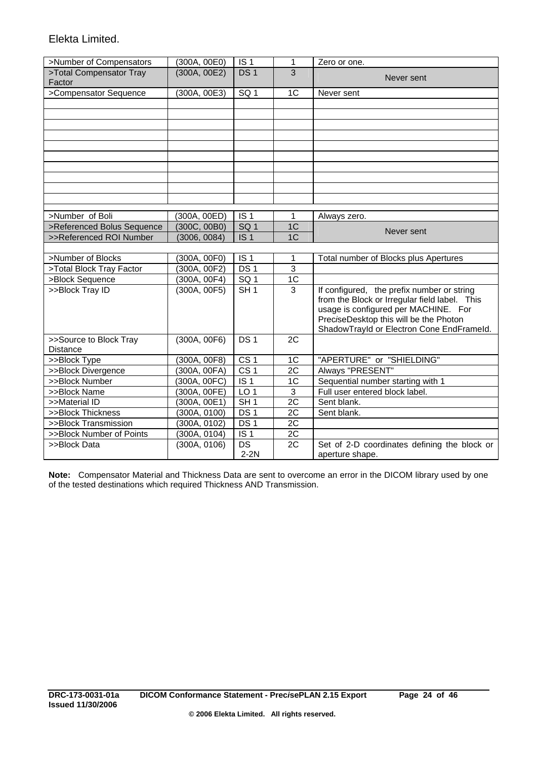| >Number of Compensators           | (300A, 00E0) | IS <sub>1</sub> | 1               | Zero or one.                                  |
|-----------------------------------|--------------|-----------------|-----------------|-----------------------------------------------|
| >Total Compensator Tray<br>Factor | (300A, 00E2) | DS <sub>1</sub> | 3               | Never sent                                    |
| >Compensator Sequence             | (300A, 00E3) | SQ <sub>1</sub> | 1 <sub>C</sub>  | Never sent                                    |
|                                   |              |                 |                 |                                               |
|                                   |              |                 |                 |                                               |
|                                   |              |                 |                 |                                               |
|                                   |              |                 |                 |                                               |
|                                   |              |                 |                 |                                               |
|                                   |              |                 |                 |                                               |
|                                   |              |                 |                 |                                               |
|                                   |              |                 |                 |                                               |
|                                   |              |                 |                 |                                               |
|                                   |              |                 |                 |                                               |
| >Number of Boli                   | (300A, 00ED) | IS <sub>1</sub> | 1               | Always zero.                                  |
| >Referenced Bolus Sequence        | (300C, 00B0) | SQ <sub>1</sub> | 1C              |                                               |
| >>Referenced ROI Number           | (3006, 0084) | IS <sub>1</sub> | 1C              | Never sent                                    |
|                                   |              |                 |                 |                                               |
| >Number of Blocks                 | (300A, 00F0) | IS <sub>1</sub> | 1               | Total number of Blocks plus Apertures         |
| >Total Block Tray Factor          | (300A, 00F2) | DS <sub>1</sub> | $\overline{3}$  |                                               |
| >Block Sequence                   | (300A, 00F4) | SQ <sub>1</sub> | 1C              |                                               |
| >>Block Tray ID                   | (300A, 00F5) | SH <sub>1</sub> | 3               | If configured, the prefix number or string    |
|                                   |              |                 |                 | from the Block or Irregular field label. This |
|                                   |              |                 |                 | usage is configured per MACHINE. For          |
|                                   |              |                 |                 | PreciseDesktop this will be the Photon        |
|                                   |              |                 |                 | ShadowTrayId or Electron Cone EndFrameId.     |
| >>Source to Block Tray            | (300A, 00F6) | DS <sub>1</sub> | 2C              |                                               |
| <b>Distance</b>                   |              |                 |                 |                                               |
| >>Block Type                      | (300A, 00F8) | CS <sub>1</sub> | 1 <sup>C</sup>  | "APERTURE" or "SHIELDING"                     |
| >>Block Divergence                | (300A, 00FA) | CS <sub>1</sub> | 2C              | Always "PRESENT"                              |
| >>Block Number                    | (300A, 00FC) | IS <sub>1</sub> | 1 <sub>C</sub>  | Sequential number starting with 1             |
| >>Block Name                      | (300A, 00FE) | LO <sub>1</sub> | 3               | Full user entered block label.                |
| >>Material ID                     | (300A, 00E1) | SH <sub>1</sub> | 2C              | Sent blank.                                   |
| >>Block Thickness                 | (300A, 0100) | DS <sub>1</sub> | 2C              | Sent blank.                                   |
| >>Block Transmission              | (300A, 0102) | DS <sub>1</sub> | 2C              |                                               |
| >>Block Number of Points          | (300A, 0104) | IS <sub>1</sub> | 2C              |                                               |
| >>Block Data                      | (300A, 0106) | <b>DS</b>       | $\overline{2C}$ | Set of 2-D coordinates defining the block or  |
|                                   |              | $2-2N$          |                 | aperture shape.                               |

**Note:** Compensator Material and Thickness Data are sent to overcome an error in the DICOM library used by one of the tested destinations which required Thickness AND Transmission.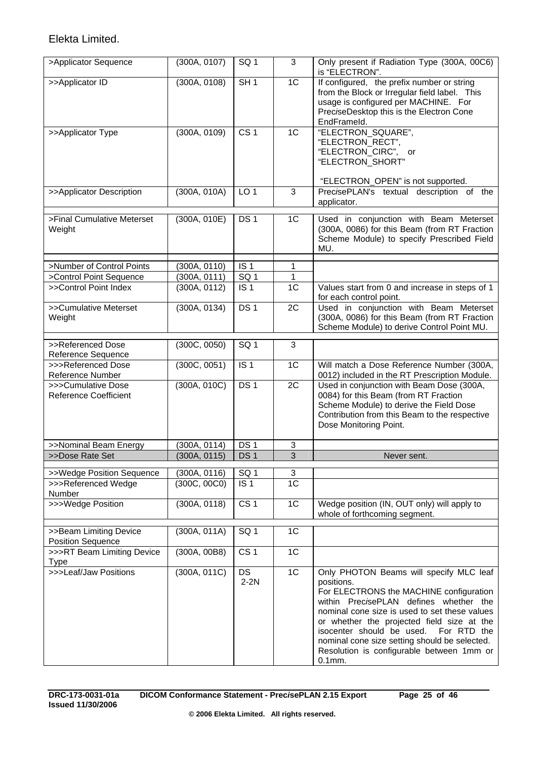| >Applicator Sequence                               | (300A, 0107)                 | SQ <sub>1</sub>     | 3               | Only present if Radiation Type (300A, 00C6)<br>is "ELECTRON".                                                                                                                                                                                                                                                                                                                                             |
|----------------------------------------------------|------------------------------|---------------------|-----------------|-----------------------------------------------------------------------------------------------------------------------------------------------------------------------------------------------------------------------------------------------------------------------------------------------------------------------------------------------------------------------------------------------------------|
| >>Applicator ID                                    | (300A, 0108)                 | SH <sub>1</sub>     | 1 <sub>C</sub>  | If configured, the prefix number or string<br>from the Block or Irregular field label. This<br>usage is configured per MACHINE. For<br>PreciseDesktop this is the Electron Cone<br>EndFrameld.                                                                                                                                                                                                            |
| >>Applicator Type                                  | (300A, 0109)                 | CS <sub>1</sub>     | 1 <sup>C</sup>  | "ELECTRON_SQUARE",<br>"ELECTRON_RECT",<br>"ELECTRON_CIRC", or<br>"ELECTRON_SHORT"                                                                                                                                                                                                                                                                                                                         |
|                                                    |                              |                     |                 | "ELECTRON_OPEN" is not supported.                                                                                                                                                                                                                                                                                                                                                                         |
| >>Applicator Description                           | (300A, 010A)                 | LO <sub>1</sub>     | 3               | PrecisePLAN's textual description of the<br>applicator.                                                                                                                                                                                                                                                                                                                                                   |
| >Final Cumulative Meterset<br>Weight               | (300A, 010E)                 | DS <sub>1</sub>     | 1C              | Used in conjunction with Beam Meterset<br>(300A, 0086) for this Beam (from RT Fraction<br>Scheme Module) to specify Prescribed Field<br>MU.                                                                                                                                                                                                                                                               |
| >Number of Control Points                          |                              | IS <sub>1</sub>     | 1               |                                                                                                                                                                                                                                                                                                                                                                                                           |
| >Control Point Sequence                            | (300A, 0110)<br>(300A, 0111) | SQ <sub>1</sub>     | $\mathbf{1}$    |                                                                                                                                                                                                                                                                                                                                                                                                           |
| >>Control Point Index                              | (300A, 0112)                 | IS <sub>1</sub>     | $\overline{1C}$ | Values start from 0 and increase in steps of 1<br>for each control point.                                                                                                                                                                                                                                                                                                                                 |
| >>Cumulative Meterset<br>Weight                    | (300A, 0134)                 | DS <sub>1</sub>     | $\overline{2C}$ | Used in conjunction with Beam Meterset<br>(300A, 0086) for this Beam (from RT Fraction<br>Scheme Module) to derive Control Point MU.                                                                                                                                                                                                                                                                      |
| >>Referenced Dose                                  | (300C, 0050)                 | SQ <sub>1</sub>     | 3               |                                                                                                                                                                                                                                                                                                                                                                                                           |
| Reference Sequence                                 |                              |                     |                 |                                                                                                                                                                                                                                                                                                                                                                                                           |
| >>>Referenced Dose<br>Reference Number             | (300C, 0051)                 | IS <sub>1</sub>     | 1C              | Will match a Dose Reference Number (300A,<br>0012) included in the RT Prescription Module.                                                                                                                                                                                                                                                                                                                |
| >>>Cumulative Dose<br><b>Reference Coefficient</b> | (300A, 010C)                 | DS <sub>1</sub>     | 2C              | Used in conjunction with Beam Dose (300A,<br>0084) for this Beam (from RT Fraction<br>Scheme Module) to derive the Field Dose<br>Contribution from this Beam to the respective<br>Dose Monitoring Point.                                                                                                                                                                                                  |
| >>Nominal Beam Energy                              | (300A, 0114)                 | DS <sub>1</sub>     | 3               |                                                                                                                                                                                                                                                                                                                                                                                                           |
| >>Dose Rate Set                                    | (300A, 0115)                 | DS <sub>1</sub>     | 3               | Never sent.                                                                                                                                                                                                                                                                                                                                                                                               |
| >>Wedge Position Sequence                          | (300A, 0116)                 | SQ <sub>1</sub>     | 3               |                                                                                                                                                                                                                                                                                                                                                                                                           |
| >>>Referenced Wedge                                | (300C, 00C0)                 | IS <sub>1</sub>     | $\overline{1C}$ |                                                                                                                                                                                                                                                                                                                                                                                                           |
| Number                                             |                              |                     |                 |                                                                                                                                                                                                                                                                                                                                                                                                           |
| >>>Wedge Position                                  | (300A, 0118)                 | CS <sub>1</sub>     | 1C              | Wedge position (IN, OUT only) will apply to<br>whole of forthcoming segment.                                                                                                                                                                                                                                                                                                                              |
| >>Beam Limiting Device                             | (300A, 011A)                 | SQ <sub>1</sub>     | 1 <sup>C</sup>  |                                                                                                                                                                                                                                                                                                                                                                                                           |
| <b>Position Sequence</b>                           |                              |                     |                 |                                                                                                                                                                                                                                                                                                                                                                                                           |
| >>>RT Beam Limiting Device<br><b>Type</b>          | (300A, 00B8)                 | CS <sub>1</sub>     | 1 <sub>C</sub>  |                                                                                                                                                                                                                                                                                                                                                                                                           |
| >>>Leaf/Jaw Positions                              | (300A, 011C)                 | <b>DS</b><br>$2-2N$ | 1 <sup>C</sup>  | Only PHOTON Beams will specify MLC leaf<br>positions.<br>For ELECTRONS the MACHINE configuration<br>within Prec <i>i</i> sePLAN defines whether the<br>nominal cone size is used to set these values<br>or whether the projected field size at the<br>isocenter should be used.<br>For RTD the<br>nominal cone size setting should be selected.<br>Resolution is configurable between 1mm or<br>$0.1$ mm. |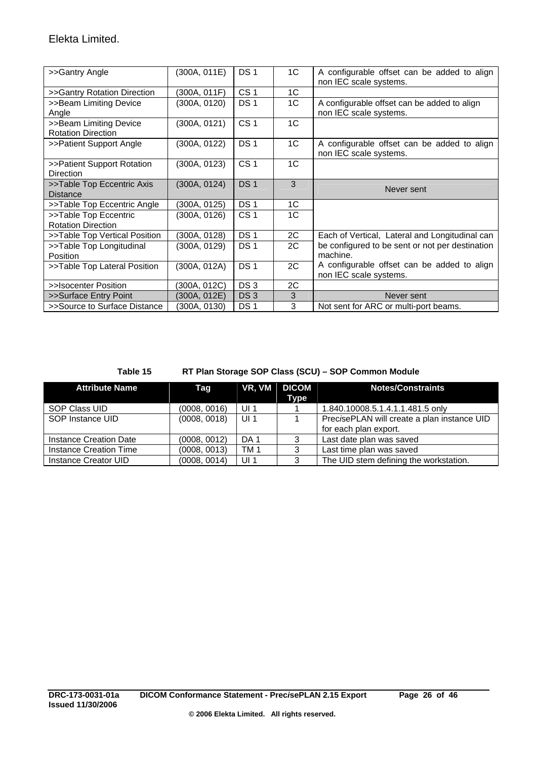<span id="page-25-0"></span>

| >>Gantry Angle                                      | (300A, 011E) | DS <sub>1</sub> | 1 <sup>C</sup> | A configurable offset can be added to align<br>non IEC scale systems. |
|-----------------------------------------------------|--------------|-----------------|----------------|-----------------------------------------------------------------------|
| >>Gantry Rotation Direction                         | (300A, 011F) | CS <sub>1</sub> | 1C             |                                                                       |
| >>Beam Limiting Device<br>Angle                     | (300A, 0120) | DS <sub>1</sub> | 1C             | A configurable offset can be added to align<br>non IEC scale systems. |
| >>Beam Limiting Device<br><b>Rotation Direction</b> | (300A, 0121) | CS <sub>1</sub> | 1 <sup>C</sup> |                                                                       |
| >>Patient Support Angle                             | (300A, 0122) | DS <sub>1</sub> | 1 <sup>C</sup> | A configurable offset can be added to align<br>non IEC scale systems. |
| >>Patient Support Rotation<br><b>Direction</b>      | (300A, 0123) | CS <sub>1</sub> | 1C             |                                                                       |
| >>Table Top Eccentric Axis<br><b>Distance</b>       | (300A, 0124) | DS <sub>1</sub> | 3              | Never sent                                                            |
| >>Table Top Eccentric Angle                         | (300A, 0125) | DS <sub>1</sub> | 1C             |                                                                       |
| >>Table Top Eccentric<br><b>Rotation Direction</b>  | (300A, 0126) | CS <sub>1</sub> | 1C             |                                                                       |
| >>Table Top Vertical Position                       | (300A, 0128) | DS <sub>1</sub> | 2C             | Each of Vertical, Lateral and Longitudinal can                        |
| >>Table Top Longitudinal<br>Position                | (300A, 0129) | DS <sub>1</sub> | 2C             | be configured to be sent or not per destination<br>machine.           |
| >>Table Top Lateral Position                        | (300A, 012A) | DS <sub>1</sub> | 2C             | A configurable offset can be added to align<br>non IEC scale systems. |
| >>Isocenter Position                                | (300A, 012C) | DS <sub>3</sub> | 2C             |                                                                       |
| >>Surface Entry Point                               | (300A, 012E) | DS <sub>3</sub> | 3              | Never sent                                                            |
| >>Source to Surface Distance                        | (300A, 0130) | DS <sub>1</sub> | 3              | Not sent for ARC or multi-port beams.                                 |

#### **Table 15 RT Plan Storage SOP Class (SCU) – SOP Common Module**

<span id="page-25-1"></span>

| <b>Attribute Name</b>  | Tag          | VR, VM          | <b>DICOM</b> | <b>Notes/Constraints</b>                    |
|------------------------|--------------|-----------------|--------------|---------------------------------------------|
|                        |              |                 | <b>Type</b>  |                                             |
| SOP Class UID          | (0008, 0016) | UI 1            |              | 1.840.10008.5.1.4.1.1.481.5 only            |
| SOP Instance UID       | (0008, 0018) | UI <sub>1</sub> |              | PrecisePLAN will create a plan instance UID |
|                        |              |                 |              | for each plan export.                       |
| Instance Creation Date | (0008, 0012) | DA 1            |              | Last date plan was saved                    |
| Instance Creation Time | (0008, 0013) | TM 1            | 3            | Last time plan was saved                    |
| Instance Creator UID   | (0008, 0014) | UI 1            |              | The UID stem defining the workstation.      |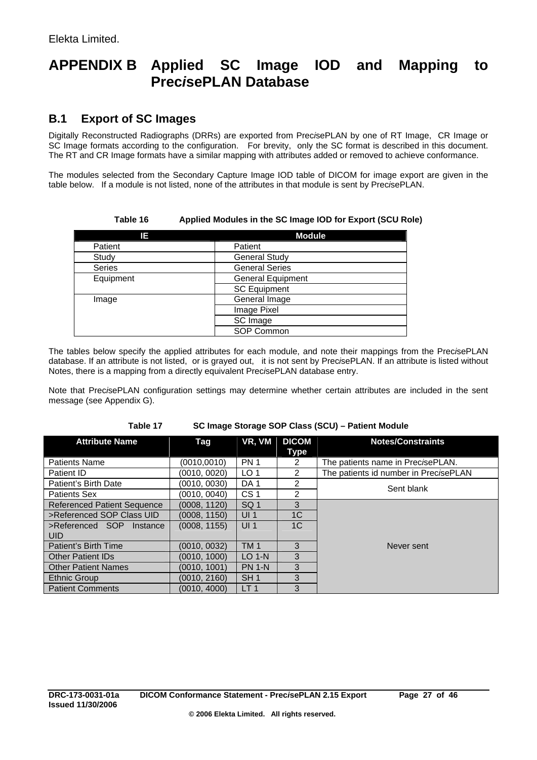# <span id="page-26-0"></span>**APPENDIX B Applied SC Image IOD and Mapping to Prec***i***sePLAN Database**

## **B.1 Export of SC Images**

Digitally Reconstructed Radiographs (DRRs) are exported from Prec*i*sePLAN by one of RT Image, CR Image or SC Image formats according to the configuration. For brevity, only the SC format is described in this document. The RT and CR Image formats have a similar mapping with attributes added or removed to achieve conformance.

The modules selected from the Secondary Capture Image IOD table of DICOM for image export are given in the table below. If a module is not listed, none of the attributes in that module is sent by Prec*i*sePLAN.

**Table 16 Applied Modules in the SC Image IOD for Export (SCU Role)** 

| IE.       | <b>Module</b>            |
|-----------|--------------------------|
| Patient   | Patient                  |
| Study     | <b>General Study</b>     |
| Series    | <b>General Series</b>    |
| Equipment | <b>General Equipment</b> |
|           | <b>SC Equipment</b>      |
| Image     | General Image            |
|           | Image Pixel              |
|           | SC Image                 |
|           | SOP Common               |

The tables below specify the applied attributes for each module, and note their mappings from the Prec*i*sePLAN database. If an attribute is not listed, or is grayed out, it is not sent by Prec*i*sePLAN. If an attribute is listed without Notes, there is a mapping from a directly equivalent Prec*i*sePLAN database entry.

Note that Prec*i*sePLAN configuration settings may determine whether certain attributes are included in the sent message (see Appendix G).

#### **Table 17 SC Image Storage SOP Class (SCU) – Patient Module**

| <b>Attribute Name</b>              | Tag          | VR, VM          | <b>DICOM</b>   | <b>Notes/Constraints</b>                      |
|------------------------------------|--------------|-----------------|----------------|-----------------------------------------------|
|                                    |              |                 | Type           |                                               |
| <b>Patients Name</b>               | (0010,0010)  | <b>PN1</b>      | 2              | The patients name in PrecisePLAN.             |
| Patient ID                         | (0010, 0020) | LO <sub>1</sub> | 2              | The patients id number in Prec <i>isePLAN</i> |
| Patient's Birth Date               | (0010, 0030) | DA <sub>1</sub> | $\mathfrak{p}$ | Sent blank                                    |
| <b>Patients Sex</b>                | (0010, 0040) | CS <sub>1</sub> | 2              |                                               |
| <b>Referenced Patient Sequence</b> | (0008, 1120) | SQ <sub>1</sub> | 3              |                                               |
| >Referenced SOP Class UID          | (0008.1150)  | UI <sub>1</sub> | 1 <sup>C</sup> |                                               |
| >Referenced SOP Instance           | (0008, 1155) | UI <sub>1</sub> | 1C             |                                               |
| <b>UID</b>                         |              |                 |                |                                               |
| Patient's Birth Time               | (0010, 0032) | <b>TM1</b>      | 3              | Never sent                                    |
| <b>Other Patient IDs</b>           | (0010, 1000) | $LO 1-N$        | 3              |                                               |
| <b>Other Patient Names</b>         | (0010.1001)  | <b>PN 1-N</b>   | 3              |                                               |
| <b>Ethnic Group</b>                | (0010, 2160) | SH <sub>1</sub> | 3              |                                               |
| <b>Patient Comments</b>            | (0010.4000)  | LT <sub>1</sub> | 3              |                                               |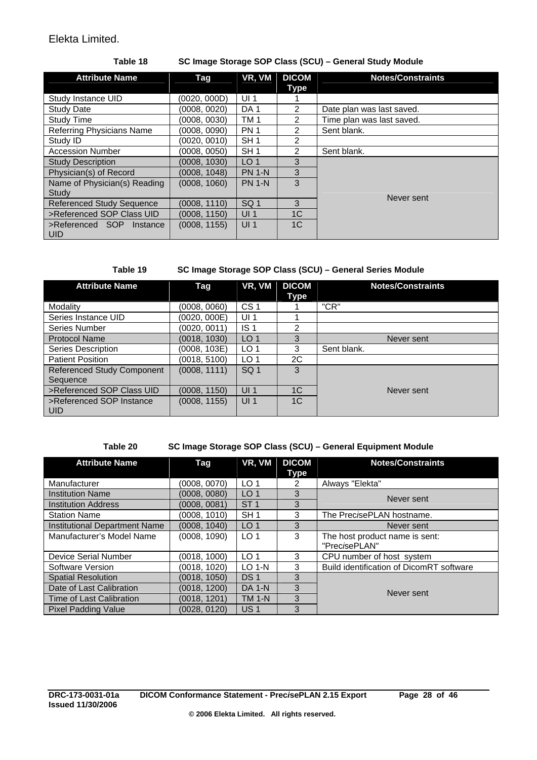#### **Table 18 SC Image Storage SOP Class (SCU) – General Study Module**

<span id="page-27-0"></span>

| <b>Attribute Name</b>                  | Taq          | VR, VM          | <b>DICOM</b><br><b>Type</b> | <b>Notes/Constraints</b>  |
|----------------------------------------|--------------|-----------------|-----------------------------|---------------------------|
| Study Instance UID                     | (0020, 000D) | UI <sub>1</sub> |                             |                           |
| <b>Study Date</b>                      | (0008, 0020) | DA <sub>1</sub> | 2                           | Date plan was last saved. |
| <b>Study Time</b>                      | (0008, 0030) | TM <sub>1</sub> | 2                           | Time plan was last saved. |
| <b>Referring Physicians Name</b>       | (0008, 0090) | <b>PN 1</b>     | $\mathfrak{p}$              | Sent blank.               |
| Study ID                               | (0020.0010)  | SH <sub>1</sub> | $\mathfrak{p}$              |                           |
| <b>Accession Number</b>                | (0008, 0050) | SH <sub>1</sub> | 2                           | Sent blank.               |
| <b>Study Description</b>               | (0008, 1030) | LO <sub>1</sub> | 3                           |                           |
| Physician(s) of Record                 | (0008, 1048) | <b>PN 1-N</b>   | 3                           |                           |
| Name of Physician(s) Reading           | (0008, 1060) | <b>PN 1-N</b>   | 3                           |                           |
| Study                                  |              |                 |                             | Never sent                |
| <b>Referenced Study Sequence</b>       | (0008, 1110) | SQ <sub>1</sub> | 3                           |                           |
| >Referenced SOP Class UID              | (0008, 1150) | UI <sub>1</sub> | 1 <sup>C</sup>              |                           |
| >Referenced SOP Instance<br><b>UID</b> | (0008, 1155) | UI <sub>1</sub> | 1 <sup>C</sup>              |                           |

#### **Table 19 SC Image Storage SOP Class (SCU) – General Series Module**

| <b>Attribute Name</b>                  | Tag          | VR, VM          | <b>DICOM</b><br>Type | <b>Notes/Constraints</b> |
|----------------------------------------|--------------|-----------------|----------------------|--------------------------|
| Modality                               | (0008, 0060) | CS <sub>1</sub> |                      | "CR"                     |
| Series Instance UID                    | (0020, 000E) | UI <sub>1</sub> |                      |                          |
| Series Number                          | (0020, 0011) | IS <sub>1</sub> | 2                    |                          |
| <b>Protocol Name</b>                   | (0018, 1030) | LO <sub>1</sub> | 3                    | Never sent               |
| Series Description                     | (0008, 103E) | LO <sub>1</sub> | 3                    | Sent blank.              |
| <b>Patient Position</b>                | (0018, 5100) | LO <sub>1</sub> | 2C                   |                          |
| <b>Referenced Study Component</b>      | (0008, 1111) | SQ <sub>1</sub> | 3                    |                          |
| Sequence                               |              |                 |                      |                          |
| >Referenced SOP Class UID              | (0008, 1150) | UI <sub>1</sub> | 1 <sup>C</sup>       | Never sent               |
| >Referenced SOP Instance<br><b>UID</b> | (0008, 1155) | UI <sub>1</sub> | 1C                   |                          |

#### **Table 20 SC Image Storage SOP Class (SCU) – General Equipment Module**

| <b>Attribute Name</b>         | Tag          | VR, VM          | <b>DICOM</b><br>Type | <b>Notes/Constraints</b>                        |
|-------------------------------|--------------|-----------------|----------------------|-------------------------------------------------|
| Manufacturer                  | (0008, 0070) | LO <sub>1</sub> | 2                    | Always "Elekta"                                 |
| <b>Institution Name</b>       | (0008, 0080) | LO <sub>1</sub> | 3                    | Never sent                                      |
| <b>Institution Address</b>    | (0008, 0081) | ST <sub>1</sub> | 3                    |                                                 |
| <b>Station Name</b>           | (0008.1010)  | SH <sub>1</sub> | 3                    | The Prec <i>i</i> sePLAN hostname.              |
| Institutional Department Name | (0008, 1040) | LO <sub>1</sub> | 3                    | Never sent                                      |
| Manufacturer's Model Name     | (0008, 1090) | LO <sub>1</sub> | 3                    | The host product name is sent:<br>"PrecisePLAN" |
| Device Serial Number          | (0018, 1000) | LO <sub>1</sub> | 3                    | CPU number of host system                       |
| Software Version              | (0018, 1020) | $LO$ 1-N        | 3                    | Build identification of DicomRT software        |
| <b>Spatial Resolution</b>     | (0018, 1050) | DS <sub>1</sub> | 3                    |                                                 |
| Date of Last Calibration      | (0018, 1200) | <b>DA 1-N</b>   | 3                    | Never sent                                      |
| Time of Last Calibration      | (0018, 1201) | <b>TM 1-N</b>   | 3                    |                                                 |
| <b>Pixel Padding Value</b>    | (0028, 0120) | <b>US1</b>      | 3                    |                                                 |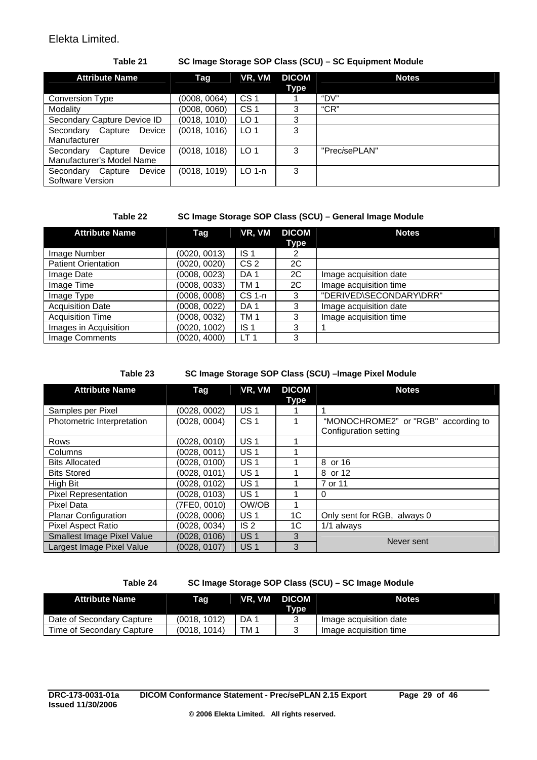#### **Table 21 SC Image Storage SOP Class (SCU) – SC Equipment Module**

<span id="page-28-0"></span>

| <b>Attribute Name</b>                                       | Tag          | VR, VM          | <b>DICOM</b><br>Type | <b>Notes</b>           |
|-------------------------------------------------------------|--------------|-----------------|----------------------|------------------------|
| Conversion Type                                             | (0008, 0064) | CS <sub>1</sub> |                      | "DV"                   |
| Modality                                                    | (0008, 0060) | CS <sub>1</sub> | 3                    | "CR"                   |
| Secondary Capture Device ID                                 | (0018, 1010) | LO <sub>1</sub> | 3                    |                        |
| Device<br>Secondary<br>Capture<br>Manufacturer              | (0018, 1016) | LO <sub>1</sub> | 3                    |                        |
| Device<br>Secondary<br>Capture<br>Manufacturer's Model Name | (0018, 1018) | LO <sub>1</sub> | 3                    | "Prec <i>i</i> sePLAN" |
| Secondary<br>Device<br>Capture<br>Software Version          | (0018, 1019) | $LO$ 1-n        | 3                    |                        |

#### **Table 22 SC Image Storage SOP Class (SCU) – General Image Module**

| <b>Attribute Name</b>      | Tag          | VR, VM          | <b>DICOM</b> | <b>Notes</b>            |
|----------------------------|--------------|-----------------|--------------|-------------------------|
|                            |              |                 | Type         |                         |
| Image Number               | (0020, 0013) | IS <sub>1</sub> | 2            |                         |
| <b>Patient Orientation</b> | (0020, 0020) | CS <sub>2</sub> | 2C           |                         |
| Image Date                 | (0008, 0023) | DA <sub>1</sub> | 2C           | Image acquisition date  |
| Image Time                 | (0008, 0033) | TM <sub>1</sub> | 2C           | Image acquisition time  |
| Image Type                 | (0008, 0008) | <b>CS 1-n</b>   | 3            | "DERIVED\SECONDARY\DRR" |
| <b>Acquisition Date</b>    | (0008, 0022) | DA <sub>1</sub> | 3            | Image acquisition date  |
| <b>Acquisition Time</b>    | (0008, 0032) | TM <sub>1</sub> | 3            | Image acquisition time  |
| Images in Acquisition      | (0020, 1002) | IS <sub>1</sub> | 3            |                         |
| Image Comments             | (0020, 4000) | LT <sub>1</sub> | 3            |                         |

#### **Table 23 SC Image Storage SOP Class (SCU) –Image Pixel Module**

| <b>Attribute Name</b>             | Tag          | VR, VM          | <b>DICOM</b> | <b>Notes</b>                        |
|-----------------------------------|--------------|-----------------|--------------|-------------------------------------|
|                                   |              |                 | Type         |                                     |
| Samples per Pixel                 | (0028, 0002) | <b>US1</b>      |              |                                     |
| Photometric Interpretation        | (0028, 0004) | CS <sub>1</sub> |              | "MONOCHROME2" or "RGB" according to |
|                                   |              |                 |              | Configuration setting               |
| Rows                              | (0028, 0010) | <b>US1</b>      |              |                                     |
| Columns                           | (0028, 0011) | US <sub>1</sub> |              |                                     |
| <b>Bits Allocated</b>             | (0028, 0100) | US <sub>1</sub> |              | 8 or 16                             |
| <b>Bits Stored</b>                | (0028, 0101) | US <sub>1</sub> |              | 8 or 12                             |
| High Bit                          | (0028, 0102) | US <sub>1</sub> |              | 7 or 11                             |
| <b>Pixel Representation</b>       | (0028, 0103) | US <sub>1</sub> |              | 0                                   |
| Pixel Data                        | (7FE0, 0010) | OW/OB           |              |                                     |
| <b>Planar Configuration</b>       | (0028, 0006) | <b>US1</b>      | 1C           | Only sent for RGB, always 0         |
| Pixel Aspect Ratio                | (0028, 0034) | IS <sub>2</sub> | 1C           | 1/1 always                          |
| <b>Smallest Image Pixel Value</b> | (0028, 0106) | <b>US1</b>      | 3            | Never sent                          |
| Largest Image Pixel Value         | (0028, 0107) | <b>US1</b>      | 3            |                                     |

#### **Table 24 SC Image Storage SOP Class (SCU) – SC Image Module**

| <b>Attribute Name</b>     | Tag         |      | VR. VM DICOM<br>Type | <b>Notes</b>           |
|---------------------------|-------------|------|----------------------|------------------------|
| Date of Secondary Capture | (0018.1012) | DA 1 |                      | Image acquisition date |
| Time of Secondary Capture | (0018.1014) | TM 1 |                      | Image acquisition time |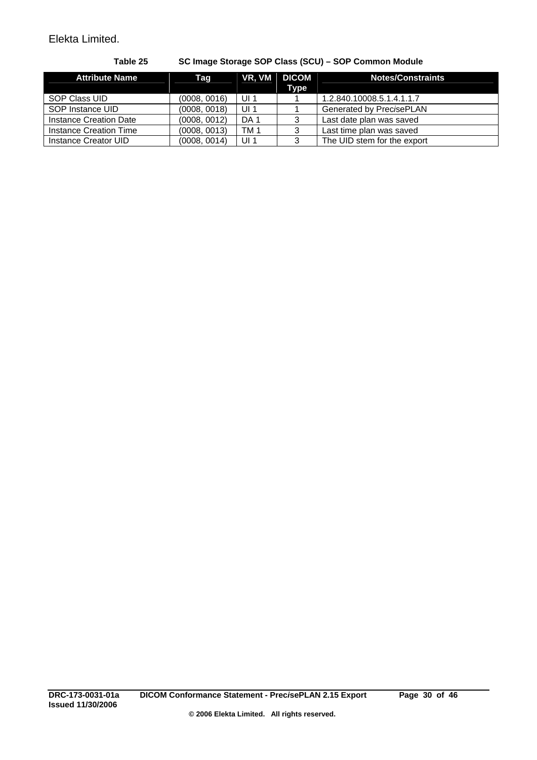<span id="page-29-0"></span>

| <b>Attribute Name</b>  | Tag          | VR, VM          | DICOM  <br>Type | <b>Notes/Constraints</b>    |
|------------------------|--------------|-----------------|-----------------|-----------------------------|
| SOP Class UID          | (0008, 0016) | UI <sub>1</sub> |                 | 1.2.840.10008.5.1.4.1.1.7   |
| SOP Instance UID       | (0008, 0018) | UI <sub>1</sub> |                 | Generated by PrecisePLAN    |
| Instance Creation Date | (0008, 0012) | DA <sub>1</sub> |                 | Last date plan was saved    |
| Instance Creation Time | (0008, 0013) | TM 1            | ົ               | Last time plan was saved    |
| Instance Creator UID   | (0008, 0014) | UI <sub>1</sub> | 3               | The UID stem for the export |

#### **Table 25 SC Image Storage SOP Class (SCU) – SOP Common Module**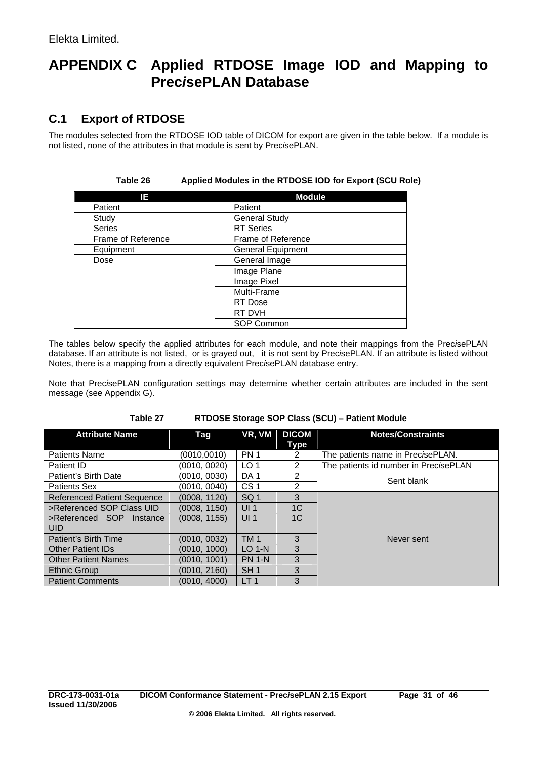# <span id="page-30-0"></span>**APPENDIX C Applied RTDOSE Image IOD and Mapping to Prec***i***sePLAN Database**

# **C.1 Export of RTDOSE**

The modules selected from the RTDOSE IOD table of DICOM for export are given in the table below. If a module is not listed, none of the attributes in that module is sent by Prec*i*sePLAN.

| IΕ                 | <b>Module</b>            |
|--------------------|--------------------------|
| Patient            | Patient                  |
| Study              | <b>General Study</b>     |
| <b>Series</b>      | <b>RT</b> Series         |
| Frame of Reference | Frame of Reference       |
| Equipment          | <b>General Equipment</b> |
| Dose               | General Image            |
|                    | Image Plane              |
|                    | Image Pixel              |
|                    | Multi-Frame              |
|                    | <b>RT</b> Dose           |
|                    | RT DVH                   |
|                    | SOP Common               |

#### **Table 26 Applied Modules in the RTDOSE IOD for Export (SCU Role)**

The tables below specify the applied attributes for each module, and note their mappings from the Prec*i*sePLAN database. If an attribute is not listed, or is grayed out, it is not sent by Prec*i*sePLAN. If an attribute is listed without Notes, there is a mapping from a directly equivalent Prec*i*sePLAN database entry.

Note that Prec*i*sePLAN configuration settings may determine whether certain attributes are included in the sent message (see Appendix G).

| <b>Attribute Name</b>                     | Tag          | VR, VM          | <b>DICOM</b><br>Type | <b>Notes/Constraints</b>              |  |  |
|-------------------------------------------|--------------|-----------------|----------------------|---------------------------------------|--|--|
| <b>Patients Name</b>                      | (0010,0010)  | PN <sub>1</sub> | 2                    | The patients name in PrecisePLAN.     |  |  |
| Patient ID                                | (0010, 0020) | LO <sub>1</sub> | 2                    | The patients id number in PrecisePLAN |  |  |
| Patient's Birth Date                      | (0010, 0030) | DA <sub>1</sub> | 2                    | Sent blank                            |  |  |
| <b>Patients Sex</b>                       | (0010, 0040) | CS <sub>1</sub> | $\mathfrak{p}$       |                                       |  |  |
| <b>Referenced Patient Sequence</b>        | (0008, 1120) | SQ <sub>1</sub> | 3                    |                                       |  |  |
| >Referenced SOP Class UID                 | (0008, 1150) | UI <sub>1</sub> | 1C                   |                                       |  |  |
| >Referenced SOP<br>Instance<br><b>UID</b> | (0008, 1155) | UI <sub>1</sub> | 1 <sup>C</sup>       |                                       |  |  |
| Patient's Birth Time                      | (0010, 0032) | <b>TM1</b>      | 3                    | Never sent                            |  |  |
| <b>Other Patient IDs</b>                  | (0010, 1000) | $LO$ 1-N        | 3                    |                                       |  |  |
| <b>Other Patient Names</b>                | (0010, 1001) | <b>PN 1-N</b>   | 3                    |                                       |  |  |
| <b>Ethnic Group</b>                       | (0010, 2160) | SH <sub>1</sub> | 3                    |                                       |  |  |
| <b>Patient Comments</b>                   | (0010, 4000) | LT <sub>1</sub> | 3                    |                                       |  |  |

#### **Table 27 RTDOSE Storage SOP Class (SCU) – Patient Module**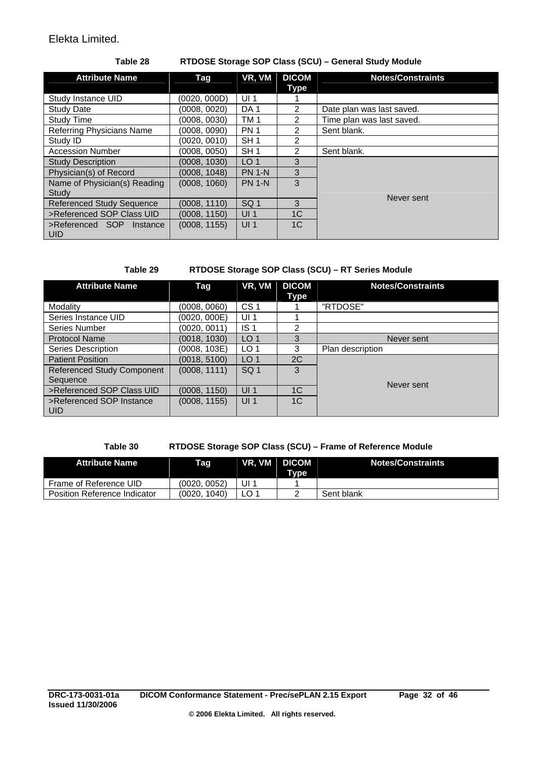#### **Table 28 RTDOSE Storage SOP Class (SCU) – General Study Module**

<span id="page-31-0"></span>

| <b>Attribute Name</b>            | Taq          | VR, VM          | <b>DICOM</b><br>Type | <b>Notes/Constraints</b>  |
|----------------------------------|--------------|-----------------|----------------------|---------------------------|
| Study Instance UID               | (0020, 000D) | UI <sub>1</sub> |                      |                           |
| <b>Study Date</b>                | (0008, 0020) | DA <sub>1</sub> | 2                    | Date plan was last saved. |
| <b>Study Time</b>                | (0008, 0030) | TM <sub>1</sub> | 2                    | Time plan was last saved. |
| <b>Referring Physicians Name</b> | (0008, 0090) | <b>PN1</b>      | 2                    | Sent blank.               |
| Study ID                         | (0020, 0010) | SH <sub>1</sub> | $\mathfrak{p}$       |                           |
| <b>Accession Number</b>          | (0008, 0050) | SH <sub>1</sub> | 2                    | Sent blank.               |
| <b>Study Description</b>         | (0008, 1030) | LO <sub>1</sub> | 3                    |                           |
| Physician(s) of Record           | (0008, 1048) | <b>PN 1-N</b>   | 3                    |                           |
| Name of Physician(s) Reading     | (0008, 1060) | <b>PN 1-N</b>   | 3                    |                           |
| Study                            |              |                 |                      | Never sent                |
| <b>Referenced Study Sequence</b> | (0008, 1110) | SQ <sub>1</sub> | 3                    |                           |
| >Referenced SOP Class UID        | (0008, 1150) | UI <sub>1</sub> | 1 <sup>C</sup>       |                           |
| >Referenced SOP Instance<br>UID. | (0008, 1155) | UI <sub>1</sub> | 1 <sup>C</sup>       |                           |

#### **Table 29 RTDOSE Storage SOP Class (SCU) – RT Series Module**

| <b>Attribute Name</b>                  | Tag          | VR, VM          | <b>DICOM</b><br>Type | <b>Notes/Constraints</b> |
|----------------------------------------|--------------|-----------------|----------------------|--------------------------|
| Modality                               | (0008, 0060) | CS <sub>1</sub> |                      | "RTDOSE"                 |
| Series Instance UID                    | (0020, 000E) | UI <sub>1</sub> |                      |                          |
| Series Number                          | (0020, 0011) | IS <sub>1</sub> | 2                    |                          |
| <b>Protocol Name</b>                   | (0018, 1030) | LO <sub>1</sub> | 3                    | Never sent               |
| Series Description                     | (0008, 103E) | LO <sub>1</sub> | 3                    | Plan description         |
| <b>Patient Position</b>                | (0018, 5100) | LO <sub>1</sub> | 2C                   |                          |
| <b>Referenced Study Component</b>      | (0008, 1111) | SQ <sub>1</sub> | 3                    |                          |
| Sequence                               |              |                 |                      | Never sent               |
| >Referenced SOP Class UID              | (0008, 1150) | UI <sub>1</sub> | 1 <sup>C</sup>       |                          |
| >Referenced SOP Instance<br><b>UID</b> | (0008, 1155) | UI <sub>1</sub> | 1 <sup>C</sup>       |                          |

#### **Table 30 RTDOSE Storage SOP Class (SCU) – Frame of Reference Module**

| Attribute Name                      | Tag.            |    | VR, VM DICOM<br><b>Type</b> | <b>Notes/Constraints</b> |
|-------------------------------------|-----------------|----|-----------------------------|--------------------------|
| Frame of Reference UID              | (0020, 0052)    | UI |                             |                          |
| <b>Position Reference Indicator</b> | 1040)<br>(0020. |    |                             | Sent blank               |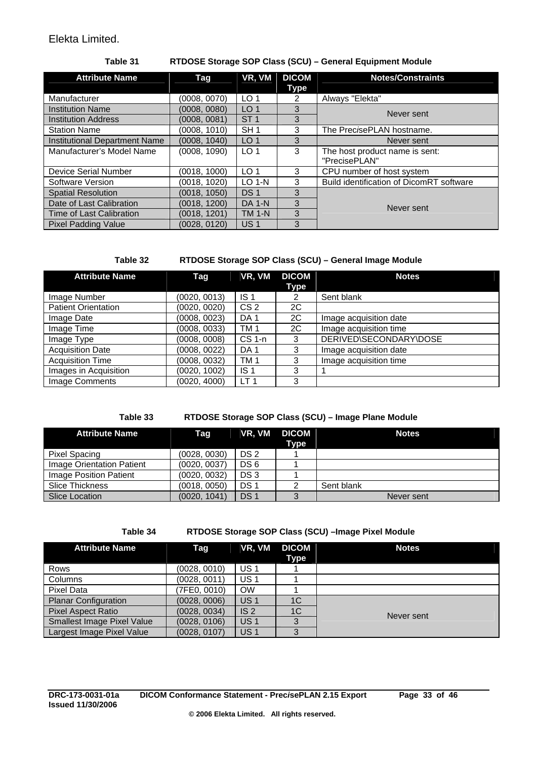<span id="page-32-0"></span>

| RTDOSE Storage SOP Class (SCU) - General Equipment Module<br>Table 31 |              |                 |                             |                                                 |  |
|-----------------------------------------------------------------------|--------------|-----------------|-----------------------------|-------------------------------------------------|--|
| <b>Attribute Name</b>                                                 | Tag          | VR, VM          | <b>DICOM</b><br><b>Type</b> | <b>Notes/Constraints</b>                        |  |
| Manufacturer                                                          | (0008, 0070) | LO <sub>1</sub> | 2                           | Always "Elekta"                                 |  |
| <b>Institution Name</b>                                               | (0008, 0080) | LO <sub>1</sub> | 3                           | Never sent                                      |  |
| <b>Institution Address</b>                                            | (0008, 0081) | ST <sub>1</sub> | 3                           |                                                 |  |
| <b>Station Name</b>                                                   | (0008, 1010) | SH <sub>1</sub> | 3                           | The PrecisePLAN hostname.                       |  |
| Institutional Department Name                                         | (0008, 1040) | LO <sub>1</sub> | 3                           | Never sent                                      |  |
| Manufacturer's Model Name                                             | (0008, 1090) | LO <sub>1</sub> | 3                           | The host product name is sent:<br>"PrecisePLAN" |  |
| Device Serial Number                                                  | (0018, 1000) | LO <sub>1</sub> | 3                           | CPU number of host system                       |  |
| Software Version                                                      | (0018, 1020) | $LO 1-N$        | 3                           | Build identification of DicomRT software        |  |
| <b>Spatial Resolution</b>                                             | (0018, 1050) | DS <sub>1</sub> | 3                           |                                                 |  |
| Date of Last Calibration                                              | (0018, 1200) | <b>DA 1-N</b>   | 3                           | Never sent                                      |  |
| Time of Last Calibration                                              | (0018, 1201) | <b>TM 1-N</b>   | 3                           |                                                 |  |
| <b>Pixel Padding Value</b>                                            | (0028.0120)  | <b>US1</b>      | 3                           |                                                 |  |

#### **Table 32 RTDOSE Storage SOP Class (SCU) – General Image Module**

| <b>Attribute Name</b>      | Tag          | VR, VM          | <b>DICOM</b> | <b>Notes</b>           |
|----------------------------|--------------|-----------------|--------------|------------------------|
|                            |              |                 | Type         |                        |
| Image Number               | (0020, 0013) | IS <sub>1</sub> |              | Sent blank             |
| <b>Patient Orientation</b> | (0020, 0020) | CS <sub>2</sub> | 2C           |                        |
| Image Date                 | (0008, 0023) | DA <sub>1</sub> | 2C           | Image acquisition date |
| Image Time                 | (0008, 0033) | TM 1            | 2C           | Image acquisition time |
| Image Type                 | (0008, 0008) | $CS1-n$         | 3            | DERIVED\SECONDARY\DOSE |
| <b>Acquisition Date</b>    | (0008, 0022) | DA <sub>1</sub> | 3            | Image acquisition date |
| <b>Acquisition Time</b>    | (0008, 0032) | TM 1            | 3            | Image acquisition time |
| Images in Acquisition      | (0020, 1002) | IS <sub>1</sub> | 3            |                        |
| Image Comments             | (0020, 4000) | LT <sub>1</sub> | 3            |                        |

#### **Table 33 RTDOSE Storage SOP Class (SCU) – Image Plane Module**

| <b>Attribute Name</b>         | Tag          | VR, VM          | <b>DICOM</b><br>Type | <b>Notes</b> |
|-------------------------------|--------------|-----------------|----------------------|--------------|
| Pixel Spacing                 | (0028, 0030) | DS <sub>2</sub> |                      |              |
| Image Orientation Patient     | (0020, 0037) | DS 6            |                      |              |
| <b>Image Position Patient</b> | (0020, 0032) | DS <sub>3</sub> |                      |              |
| <b>Slice Thickness</b>        | (0018, 0050) | DS <sub>1</sub> |                      | Sent blank   |
| Slice Location                | (0020, 1041) | DS <sub>1</sub> |                      | Never sent   |

#### **Table 34 RTDOSE Storage SOP Class (SCU) –Image Pixel Module**

| <b>Attribute Name</b>             | Tag          | VR, VM          | <b>DICOM</b><br>Type | <b>Notes</b> |
|-----------------------------------|--------------|-----------------|----------------------|--------------|
| Rows                              | (0028, 0010) | <b>US1</b>      |                      |              |
| Columns                           | (0028, 0011) | <b>US1</b>      |                      |              |
| Pixel Data                        | (7FE0, 0010) | <b>OW</b>       |                      |              |
| <b>Planar Configuration</b>       | (0028, 0006) | <b>US1</b>      | 1C                   |              |
| <b>Pixel Aspect Ratio</b>         | (0028, 0034) | IS <sub>2</sub> | 1C                   | Never sent   |
| <b>Smallest Image Pixel Value</b> | (0028, 0106) | <b>US1</b>      | 3                    |              |
| Largest Image Pixel Value         | (0028, 0107) | <b>US1</b>      | 3                    |              |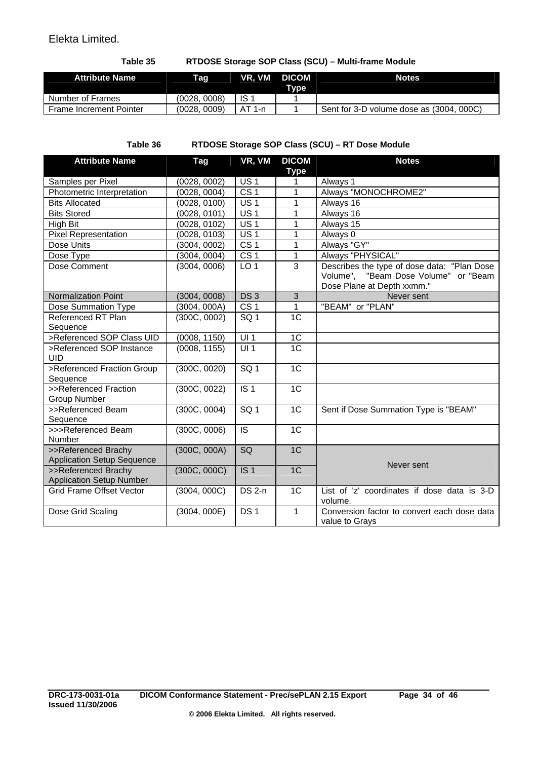**Table 35 RTDOSE Storage SOP Class (SCU) – Multi-frame Module** 

<span id="page-33-0"></span>

| <b>Attribute Name</b>   | Tag          |          | VR, VM DICOM<br>Type | <b>Notes</b>                             |
|-------------------------|--------------|----------|----------------------|------------------------------------------|
| Number of Frames        | (0028, 0008) | IS 1     |                      |                                          |
| Frame Increment Pointer | (0028.0009)  | $AT 1-n$ |                      | Sent for 3-D volume dose as (3004, 000C) |

#### **Table 36 RTDOSE Storage SOP Class (SCU) – RT Dose Module**

| <b>Attribute Name</b>                                    | <b>Tag</b>   | VR, VM                   | <b>DICOM</b>    | <b>Notes</b>                                                                                                      |
|----------------------------------------------------------|--------------|--------------------------|-----------------|-------------------------------------------------------------------------------------------------------------------|
|                                                          |              |                          | <b>Type</b>     |                                                                                                                   |
| Samples per Pixel                                        | (0028, 0002) | <b>US1</b>               | 1               | Always 1                                                                                                          |
| Photometric Interpretation                               | (0028, 0004) | CS <sub>1</sub>          | $\mathbf 1$     | Always "MONOCHROME2"                                                                                              |
| <b>Bits Allocated</b>                                    | (0028, 0100) | US <sub>1</sub>          | 1               | Always 16                                                                                                         |
| <b>Bits Stored</b>                                       | (0028, 0101) | $\overline{US}$ 1        | $\mathbf{1}$    | Always 16                                                                                                         |
| High Bit                                                 | (0028, 0102) | US <sub>1</sub>          | 1               | Always 15                                                                                                         |
| <b>Pixel Representation</b>                              | (0028, 0103) | <b>US1</b>               | 1               | Always 0                                                                                                          |
| Dose Units                                               | (3004, 0002) | CS <sub>1</sub>          | 1               | Always "GY"                                                                                                       |
| Dose Type                                                | (3004, 0004) | CS <sub>1</sub>          | 1               | Always "PHYSICAL"                                                                                                 |
| Dose Comment                                             | (3004, 0006) | LO <sub>1</sub>          | $\overline{3}$  | Describes the type of dose data: "Plan Dose<br>Volume", "Beam Dose Volume" or "Beam<br>Dose Plane at Depth xxmm." |
| <b>Normalization Point</b>                               | (3004, 0008) | DS <sub>3</sub>          | 3               | Never sent                                                                                                        |
| Dose Summation Type                                      | (3004, 000A) | $\overline{\text{CS}}$ 1 | 1               | "BEAM" or "PLAN"                                                                                                  |
| Referenced RT Plan<br>Sequence                           | (300C, 0002) | SG <sub>1</sub>          | 1C              |                                                                                                                   |
| >Referenced SOP Class UID                                | (0008, 1150) | UI1                      | $\overline{1C}$ |                                                                                                                   |
| >Referenced SOP Instance<br><b>UID</b>                   | (0008, 1155) | U11                      | $\overline{1C}$ |                                                                                                                   |
| >Referenced Fraction Group<br>Sequence                   | (300C, 0020) | $\overline{SQ}$ 1        | 1 <sup>C</sup>  |                                                                                                                   |
| >>Referenced Fraction<br><b>Group Number</b>             | (300C, 0022) | $\overline{1S1}$         | 1 <sup>C</sup>  |                                                                                                                   |
| >>Referenced Beam<br>Sequence                            | (300C, 0004) | SG <sub>1</sub>          | 1 <sup>C</sup>  | Sent if Dose Summation Type is "BEAM"                                                                             |
| >>>Referenced Beam<br><b>Number</b>                      | (300C, 0006) | $\overline{S}$           | 1 <sup>C</sup>  |                                                                                                                   |
| >>Referenced Brachy<br><b>Application Setup Sequence</b> | (300C, 000A) | SQ                       | 1 <sub>C</sub>  |                                                                                                                   |
| >>Referenced Brachy<br><b>Application Setup Number</b>   | (300C, 000C) | IS <sub>1</sub>          | 1 <sup>C</sup>  | Never sent                                                                                                        |
| <b>Grid Frame Offset Vector</b>                          | (3004, 000C) | <b>DS 2-n</b>            | 1 <sub>C</sub>  | List of 'z' coordinates if dose data is 3-D<br>volume.                                                            |
| Dose Grid Scaling                                        | (3004, 000E) | DS <sub>1</sub>          | $\mathbf{1}$    | Conversion factor to convert each dose data<br>value to Grays                                                     |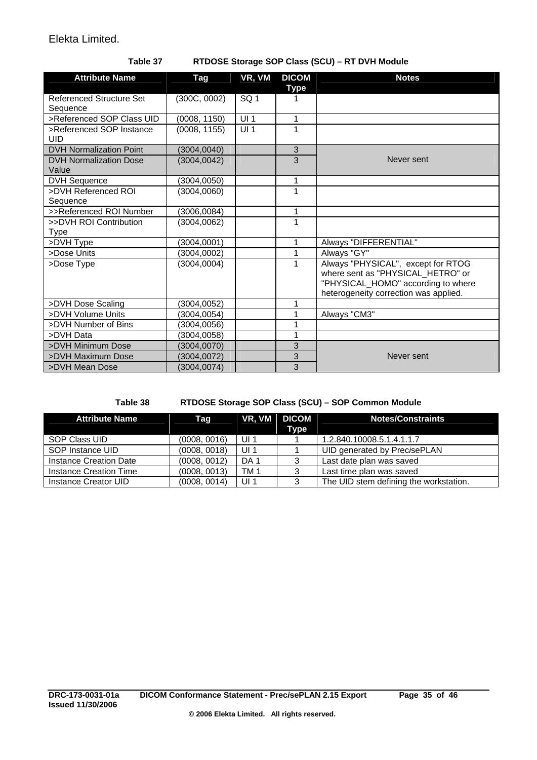#### **Table 37 RTDOSE Storage SOP Class (SCU) – RT DVH Module**

<span id="page-34-0"></span>

| <b>Attribute Name</b>                       | Tag          | VR, VM          | <b>DICOM</b><br><b>Type</b> | <b>Notes</b>                                                                                                                                           |
|---------------------------------------------|--------------|-----------------|-----------------------------|--------------------------------------------------------------------------------------------------------------------------------------------------------|
| <b>Referenced Structure Set</b><br>Sequence | (300C, 0002) | SQ <sub>1</sub> |                             |                                                                                                                                                        |
| >Referenced SOP Class UID                   | (0008, 1150) | UI1             | 1                           |                                                                                                                                                        |
| >Referenced SOP Instance<br><b>UID</b>      | (0008, 1155) | UI <sub>1</sub> | 1                           |                                                                                                                                                        |
| <b>DVH Normalization Point</b>              | (3004, 0040) |                 | $\sqrt{3}$                  |                                                                                                                                                        |
| <b>DVH Normalization Dose</b><br>Value      | (3004, 0042) |                 | 3                           | Never sent                                                                                                                                             |
| <b>DVH Sequence</b>                         | (3004, 0050) |                 | 1                           |                                                                                                                                                        |
| >DVH Referenced ROI<br>Sequence             | (3004, 0060) |                 | 1                           |                                                                                                                                                        |
| >>Referenced ROI Number                     | (3006, 0084) |                 | 1                           |                                                                                                                                                        |
| >>DVH ROI Contribution<br>Type              | (3004, 0062) |                 | 1                           |                                                                                                                                                        |
| >DVH Type                                   | (3004, 0001) |                 | 1                           | Always "DIFFERENTIAL"                                                                                                                                  |
| >Dose Units                                 | (3004, 0002) |                 | 1                           | Always "GY"                                                                                                                                            |
| >Dose Type                                  | (3004, 0004) |                 | 1                           | Always "PHYSICAL", except for RTOG<br>where sent as "PHYSICAL_HETRO" or<br>"PHYSICAL_HOMO" according to where<br>heterogeneity correction was applied. |
| >DVH Dose Scaling                           | (3004, 0052) |                 | 1                           |                                                                                                                                                        |
| >DVH Volume Units                           | (3004,0054)  |                 | 1                           | Always "CM3"                                                                                                                                           |
| >DVH Number of Bins                         | (3004,0056)  |                 |                             |                                                                                                                                                        |
| >DVH Data                                   | (3004, 0058) |                 | 1                           |                                                                                                                                                        |
| >DVH Minimum Dose                           | (3004, 0070) |                 | 3                           |                                                                                                                                                        |
| >DVH Maximum Dose                           | (3004, 0072) |                 | 3                           | Never sent                                                                                                                                             |
| >DVH Mean Dose                              | (3004, 0074) |                 | 3                           |                                                                                                                                                        |

#### **Table 38 RTDOSE Storage SOP Class (SCU) – SOP Common Module**

| <b>Attribute Name</b>  | Tag          | VR, VM          | <b>DICOM</b><br>Type | <b>Notes/Constraints</b>               |
|------------------------|--------------|-----------------|----------------------|----------------------------------------|
| SOP Class UID          | (0008, 0016) | UI <sub>1</sub> |                      | 1.2.840.10008.5.1.4.1.1.7              |
| SOP Instance UID       | (0008, 0018) | UI <sub>1</sub> |                      | UID generated by PrecisePLAN           |
| Instance Creation Date | (0008, 0012) | DA <sub>1</sub> | 3                    | Last date plan was saved               |
| Instance Creation Time | (0008, 0013) | TM <sub>1</sub> | 3                    | Last time plan was saved               |
| Instance Creator UID   | (0008, 0014) | UI <sub>1</sub> | 3                    | The UID stem defining the workstation. |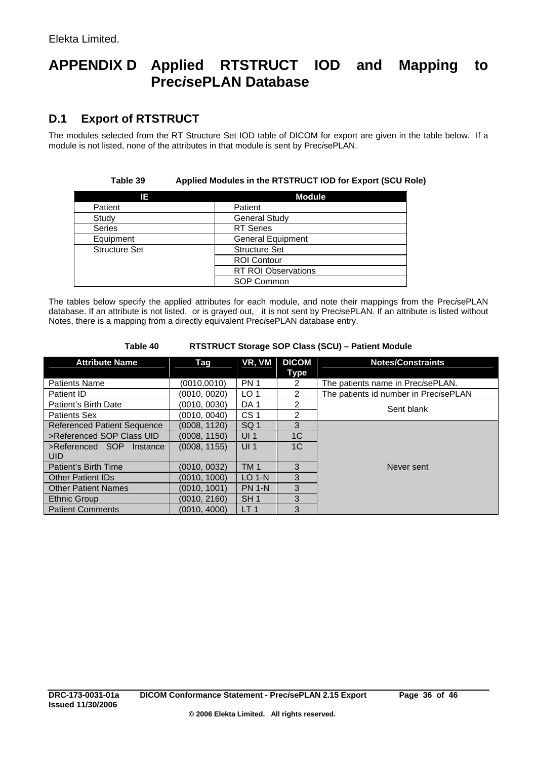# <span id="page-35-0"></span>**APPENDIX D Applied RTSTRUCT IOD and Mapping to Prec***i***sePLAN Database**

# **D.1 Export of RTSTRUCT**

The modules selected from the RT Structure Set IOD table of DICOM for export are given in the table below. If a module is not listed, none of the attributes in that module is sent by Prec*i*sePLAN.

**Table 39 Applied Modules in the RTSTRUCT IOD for Export (SCU Role)** 

| Π∃                   | <b>Module</b>              |  |
|----------------------|----------------------------|--|
| Patient              | Patient                    |  |
| Study                | <b>General Study</b>       |  |
| <b>Series</b>        | <b>RT</b> Series           |  |
| Equipment            | <b>General Equipment</b>   |  |
| <b>Structure Set</b> | <b>Structure Set</b>       |  |
|                      | <b>ROI Contour</b>         |  |
|                      | <b>RT ROI Observations</b> |  |
|                      | SOP Common                 |  |

The tables below specify the applied attributes for each module, and note their mappings from the Prec*i*sePLAN database. If an attribute is not listed, or is grayed out, it is not sent by Prec*i*sePLAN. If an attribute is listed without Notes, there is a mapping from a directly equivalent Prec*i*sePLAN database entry.

| <b>Attribute Name</b>              | Tag          | VR, VM          | <b>DICOM</b><br>Type | <b>Notes/Constraints</b>                   |
|------------------------------------|--------------|-----------------|----------------------|--------------------------------------------|
| <b>Patients Name</b>               | (0010,0010)  | <b>PN1</b>      | 2                    | The patients name in Prec <i>i</i> sePLAN. |
| Patient ID                         | (0010, 0020) | LO <sub>1</sub> | $\mathcal{P}$        | The patients id number in PrecisePLAN      |
| Patient's Birth Date               | (0010, 0030) | DA <sub>1</sub> | 2                    | Sent blank                                 |
| <b>Patients Sex</b>                | (0010, 0040) | CS <sub>1</sub> | 2                    |                                            |
| <b>Referenced Patient Sequence</b> | (0008, 1120) | SQ <sub>1</sub> | 3                    |                                            |
| >Referenced SOP Class UID          | (0008, 1150) | UI <sub>1</sub> | 1 <sup>C</sup>       |                                            |
| >Referenced SOP Instance           | (0008, 1155) | UI <sub>1</sub> | 1C                   |                                            |
| UID.                               |              |                 |                      |                                            |
| Patient's Birth Time               | (0010, 0032) | <b>TM1</b>      | 3                    | Never sent                                 |
| <b>Other Patient IDs</b>           | (0010, 1000) | $LO$ 1-N        | 3                    |                                            |
| <b>Other Patient Names</b>         | (0010, 1001) | <b>PN 1-N</b>   | 3                    |                                            |
| Ethnic Group                       | (0010, 2160) | SH <sub>1</sub> | 3                    |                                            |
| <b>Patient Comments</b>            | (0010, 4000) | LT <sub>1</sub> | 3                    |                                            |

**Table 40 RTSTRUCT Storage SOP Class (SCU) – Patient Module**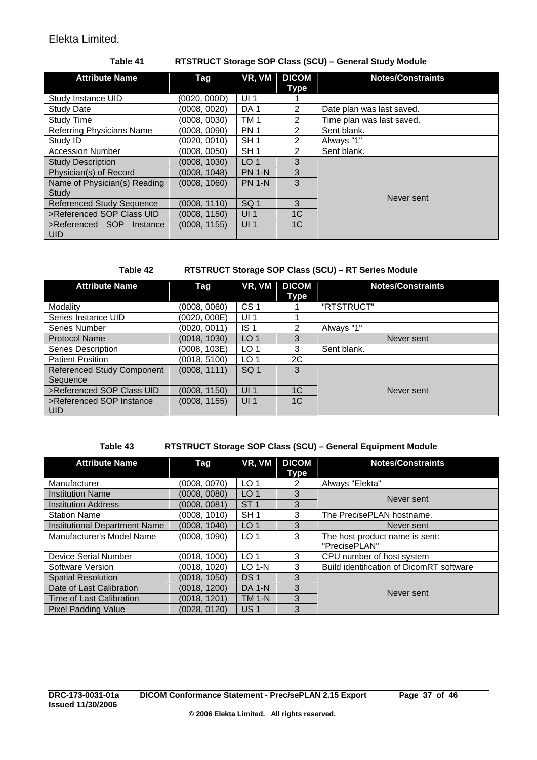#### **Table 41 RTSTRUCT Storage SOP Class (SCU) – General Study Module**

<span id="page-36-0"></span>

| <b>Attribute Name</b>                  | Taq          | VR, VM          | <b>DICOM</b><br><b>Type</b> | <b>Notes/Constraints</b>  |
|----------------------------------------|--------------|-----------------|-----------------------------|---------------------------|
| Study Instance UID                     | (0020, 000D) | UI <sub>1</sub> |                             |                           |
| <b>Study Date</b>                      | (0008, 0020) | DA <sub>1</sub> | 2                           | Date plan was last saved. |
| <b>Study Time</b>                      | (0008, 0030) | TM <sub>1</sub> | 2                           | Time plan was last saved. |
| <b>Referring Physicians Name</b>       | (0008, 0090) | <b>PN1</b>      | 2                           | Sent blank.               |
| Study ID                               | (0020.0010)  | SH <sub>1</sub> | 2                           | Always "1"                |
| <b>Accession Number</b>                | (0008, 0050) | SH <sub>1</sub> | 2                           | Sent blank.               |
| <b>Study Description</b>               | (0008, 1030) | LO <sub>1</sub> | 3                           |                           |
| Physician(s) of Record                 | (0008, 1048) | <b>PN 1-N</b>   | 3                           |                           |
| Name of Physician(s) Reading           | (0008, 1060) | <b>PN 1-N</b>   | 3                           |                           |
| Study                                  |              |                 |                             | Never sent                |
| <b>Referenced Study Sequence</b>       | (0008, 1110) | SQ <sub>1</sub> | 3                           |                           |
| >Referenced SOP Class UID              | (0008, 1150) | UI <sub>1</sub> | 1 <sup>C</sup>              |                           |
| >Referenced SOP Instance<br><b>UID</b> | (0008, 1155) | UI <sub>1</sub> | 1 <sup>C</sup>              |                           |

#### **Table 42 RTSTRUCT Storage SOP Class (SCU) – RT Series Module**

| <b>Attribute Name</b>             | Tag          | VR, VM          | <b>DICOM</b>   | <b>Notes/Constraints</b> |
|-----------------------------------|--------------|-----------------|----------------|--------------------------|
|                                   |              |                 | Type           |                          |
| Modality                          | (0008, 0060) | CS <sub>1</sub> |                | "RTSTRUCT"               |
| Series Instance UID               | (0020, 000E) | UI <sub>1</sub> |                |                          |
| Series Number                     | (0020, 0011) | IS <sub>1</sub> | 2              | Always "1"               |
| <b>Protocol Name</b>              | (0018, 1030) | LO <sub>1</sub> | 3              | Never sent               |
| Series Description                | (0008, 103E) | LO <sub>1</sub> | 3              | Sent blank.              |
| <b>Patient Position</b>           | (0018, 5100) | LO <sub>1</sub> | 2C             |                          |
| <b>Referenced Study Component</b> | (0008, 1111) | SQ <sub>1</sub> | 3              |                          |
| Sequence                          |              |                 |                |                          |
| >Referenced SOP Class UID         | (0008, 1150) | UI <sub>1</sub> | 1 <sup>C</sup> | Never sent               |
| >Referenced SOP Instance          | (0008, 1155) | UI <sub>1</sub> | 1 <sup>C</sup> |                          |
| <b>UID</b>                        |              |                 |                |                          |

#### **Table 43 RTSTRUCT Storage SOP Class (SCU) – General Equipment Module**

| <b>Attribute Name</b>         | Tag          | VR, VM          | <b>DICOM</b><br>Type | <b>Notes/Constraints</b>                        |
|-------------------------------|--------------|-----------------|----------------------|-------------------------------------------------|
| Manufacturer                  | (0008, 0070) | LO <sub>1</sub> | 2                    | Always "Elekta"                                 |
| <b>Institution Name</b>       | (0008, 0080) | LO <sub>1</sub> | 3                    | Never sent                                      |
| <b>Institution Address</b>    | (0008, 0081) | ST <sub>1</sub> | 3                    |                                                 |
| <b>Station Name</b>           | (0008, 1010) | SH <sub>1</sub> | 3                    | The PrecisePLAN hostname.                       |
| Institutional Department Name | (0008, 1040) | LO <sub>1</sub> | 3                    | Never sent                                      |
| Manufacturer's Model Name     | (0008, 1090) | LO <sub>1</sub> | 3                    | The host product name is sent:<br>"PrecisePLAN" |
| Device Serial Number          | (0018, 1000) | LO <sub>1</sub> | 3                    | CPU number of host system                       |
| Software Version              | (0018, 1020) | $LO 1-N$        | 3                    | Build identification of DicomRT software        |
| <b>Spatial Resolution</b>     | (0018, 1050) | DS <sub>1</sub> | 3                    |                                                 |
| Date of Last Calibration      | (0018, 1200) | <b>DA 1-N</b>   | 3                    | Never sent                                      |
| Time of Last Calibration      | (0018, 1201) | <b>TM 1-N</b>   | 3                    |                                                 |
| <b>Pixel Padding Value</b>    | (0028, 0120) | US <sub>1</sub> | 3                    |                                                 |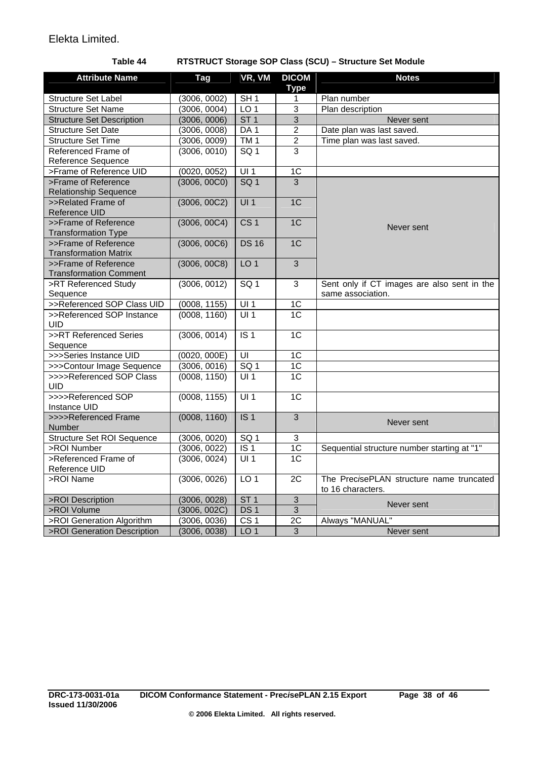#### **Table 44 RTSTRUCT Storage SOP Class (SCU) – Structure Set Module**

<span id="page-37-0"></span>

| <b>Attribute Name</b>                  | <b>Tag</b>                   | VR, VM                    | <b>DICOM</b><br><b>Type</b> | <b>Notes</b>                                                     |
|----------------------------------------|------------------------------|---------------------------|-----------------------------|------------------------------------------------------------------|
| <b>Structure Set Label</b>             | (3006, 0002)                 | SH1                       | 1                           | Plan number                                                      |
| <b>Structure Set Name</b>              | (3006, 0004)                 | LO <sub>1</sub>           | 3                           | Plan description                                                 |
| <b>Structure Set Description</b>       | (3006, 0006)                 | ST <sub>1</sub>           | 3                           | Never sent                                                       |
| <b>Structure Set Date</b>              | (3006, 0008)                 | DA <sub>1</sub>           | $\overline{c}$              | Date plan was last saved.                                        |
| <b>Structure Set Time</b>              | (3006, 0009)                 | TM <sub>1</sub>           | $\overline{2}$              | Time plan was last saved.                                        |
| Referenced Frame of                    | (3006, 0010)                 | SQ <sub>1</sub>           | 3                           |                                                                  |
| Reference Sequence                     |                              |                           |                             |                                                                  |
| >Frame of Reference UID                | (0020, 0052)                 | UI1                       | 1C                          |                                                                  |
| >Frame of Reference                    | (3006, 00C0)                 | SG <sub>1</sub>           | 3                           |                                                                  |
| <b>Relationship Sequence</b>           |                              |                           |                             |                                                                  |
| >>Related Frame of                     | (3006, 00C2)                 | UI1                       | 1 <sup>C</sup>              |                                                                  |
| Reference UID                          |                              |                           |                             |                                                                  |
| >>Frame of Reference                   | (3006, 00C4)                 | CS <sub>1</sub>           | 1C                          | Never sent                                                       |
| <b>Transformation Type</b>             |                              |                           |                             |                                                                  |
| >>Frame of Reference                   | (3006, 00C6)                 | <b>DS 16</b>              | 1C                          |                                                                  |
| <b>Transformation Matrix</b>           |                              |                           |                             |                                                                  |
| >>Frame of Reference                   | (3006, 00C8)                 | LO <sub>1</sub>           | $\mathfrak{S}$              |                                                                  |
| <b>Transformation Comment</b>          |                              |                           |                             |                                                                  |
| >RT Referenced Study                   | (3006, 0012)                 | SQ <sub>1</sub>           | $\mathbf{3}$                | Sent only if CT images are also sent in the<br>same association. |
| Sequence<br>>>Referenced SOP Class UID |                              | U11                       | 1 <sup>C</sup>              |                                                                  |
| >>Referenced SOP Instance              | (0008, 1155)<br>(0008, 1160) | U11                       | 1C                          |                                                                  |
| <b>UID</b>                             |                              |                           |                             |                                                                  |
| >>RT Referenced Series                 | (3006, 0014)                 | $\overline{1S}$ 1         | $\overline{1C}$             |                                                                  |
| Sequence                               |                              |                           |                             |                                                                  |
| >>>Series Instance UID                 | (0020, 000E)                 | $\overline{\overline{u}}$ | 1C                          |                                                                  |
| >>>Contour Image Sequence              | (3006, 0016)                 | SG <sub>1</sub>           | 1C                          |                                                                  |
| >>>>Referenced SOP Class               | (0008, 1150)                 | UI1                       | 1C                          |                                                                  |
| <b>UID</b>                             |                              |                           |                             |                                                                  |
| >>>>Referenced SOP                     | (0008, 1155)                 | UI1                       | $\overline{1C}$             |                                                                  |
| Instance UID                           |                              |                           |                             |                                                                  |
| >>>>Referenced Frame                   | (0008, 1160)                 | IS <sub>1</sub>           | $\overline{3}$              | Never sent                                                       |
| <b>Number</b>                          |                              |                           |                             |                                                                  |
| <b>Structure Set ROI Sequence</b>      | (3006, 0020)                 | SQ <sub>1</sub>           | $\sqrt{3}$                  |                                                                  |
| >ROI Number                            | (3006, 0022)                 | IS <sub>1</sub>           | 1 <sub>C</sub>              | Sequential structure number starting at "1"                      |
| >Referenced Frame of                   | (3006, 0024)                 | $\overline{UI1}$          | $\overline{1C}$             |                                                                  |
| Reference UID                          |                              |                           |                             |                                                                  |
| >ROI Name                              | (3006, 0026)                 | LO <sub>1</sub>           | $\overline{2C}$             | The PrecisePLAN structure name truncated                         |
|                                        |                              |                           |                             | to 16 characters.                                                |
| >ROI Description                       | (3006, 0028)                 | ST <sub>1</sub>           | $\mathbf{3}$                | Never sent                                                       |
| >ROI Volume                            | (3006, 002C)                 | DS <sub>1</sub>           | $\overline{3}$              |                                                                  |
| >ROI Generation Algorithm              | (3006, 0036)                 | CS <sub>1</sub>           | $\overline{2C}$             | Always "MANUAL"                                                  |
| >ROI Generation Description            | (3006, 0038)                 | LO <sub>1</sub>           | $\overline{3}$              | Never sent                                                       |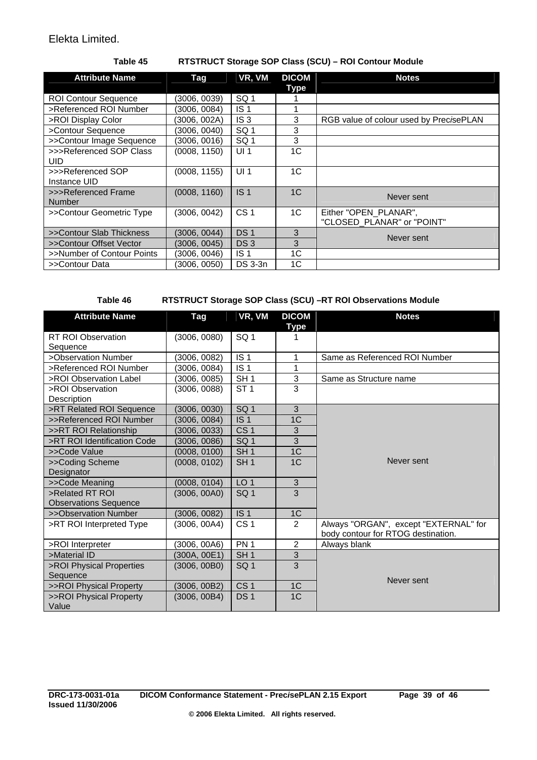#### **Table 45 RTSTRUCT Storage SOP Class (SCU) – ROI Contour Module**

<span id="page-38-0"></span>

| <b>Attribute Name</b>                 | Tag          | VR, VM          | <b>DICOM</b>   | <b>Notes</b>                                        |
|---------------------------------------|--------------|-----------------|----------------|-----------------------------------------------------|
| <b>ROI Contour Sequence</b>           | 3006, 0039)  | SQ <sub>1</sub> | <b>Type</b>    |                                                     |
| >Referenced ROI Number                | (3006, 0084) | IS <sub>1</sub> |                |                                                     |
| >ROI Display Color                    | 3006, 002A)  | IS <sub>3</sub> | 3              | RGB value of colour used by PrecisePLAN             |
| >Contour Sequence                     | (3006, 0040) | SQ <sub>1</sub> | 3              |                                                     |
| >>Contour Image Sequence              | (3006, 0016) | SQ <sub>1</sub> | 3              |                                                     |
|                                       |              |                 |                |                                                     |
| >>>Referenced SOP Class<br><b>UID</b> | (0008, 1150) | UI <sub>1</sub> | 1 <sup>C</sup> |                                                     |
| >>>Referenced SOP<br>Instance UID     | (0008, 1155) | UI <sub>1</sub> | 1C             |                                                     |
| >>>Referenced Frame<br>Number         | (0008, 1160) | IS <sub>1</sub> | 1 <sup>C</sup> | Never sent                                          |
| >>Contour Geometric Type              | (3006, 0042) | CS <sub>1</sub> | 1C             | Either "OPEN PLANAR",<br>"CLOSED_PLANAR" or "POINT" |
| >>Contour Slab Thickness              | (3006. 0044) | DS <sub>1</sub> | 3              | Never sent                                          |
| >>Contour Offset Vector               | (3006, 0045) | DS <sub>3</sub> | 3              |                                                     |
| >>Number of Contour Points            | (3006, 0046) | IS <sub>1</sub> | 1C             |                                                     |
| >>Contour Data                        | (3006, 0050) | DS 3-3n         | 1C             |                                                     |

#### **Table 46 RTSTRUCT Storage SOP Class (SCU) –RT ROI Observations Module**

| <b>Attribute Name</b>            | Tag          | VR, VM          | <b>DICOM</b><br><b>Type</b> | <b>Notes</b>                          |
|----------------------------------|--------------|-----------------|-----------------------------|---------------------------------------|
| <b>RT ROI Observation</b>        | (3006, 0080) | SQ <sub>1</sub> |                             |                                       |
| Sequence                         |              |                 |                             |                                       |
| >Observation Number              | (3006, 0082) | IS <sub>1</sub> | 1                           | Same as Referenced ROI Number         |
| >Referenced ROI Number           | (3006, 0084) | IS <sub>1</sub> | 1                           |                                       |
| >ROI Observation Label           | (3006, 0085) | SH <sub>1</sub> | 3                           | Same as Structure name                |
| >ROI Observation                 | (3006, 0088) | ST <sub>1</sub> | 3                           |                                       |
| Description                      |              |                 |                             |                                       |
| >RT Related ROI Sequence         | (3006, 0030) | SQ <sub>1</sub> | 3                           |                                       |
| >>Referenced ROI Number          | (3006, 0084) | IS <sub>1</sub> | 1 <sup>C</sup>              |                                       |
| >>RT ROI Relationship            | (3006, 0033) | CS <sub>1</sub> | 3                           |                                       |
| >RT ROI Identification Code      | (3006, 0086) | SQ <sub>1</sub> | 3                           |                                       |
| >>Code Value                     | (0008, 0100) | SH <sub>1</sub> | 1 <sup>C</sup>              |                                       |
| >>Coding Scheme                  | (0008, 0102) | SH <sub>1</sub> | 1 <sup>C</sup>              | Never sent                            |
| Designator                       |              |                 |                             |                                       |
| >>Code Meaning                   | (0008, 0104) | LO <sub>1</sub> | 3                           |                                       |
| >Related RT ROI                  | (3006, 00A0) | SQ <sub>1</sub> | 3                           |                                       |
| <b>Observations Sequence</b>     |              |                 |                             |                                       |
| >>Observation Number             | (3006, 0082) | IS <sub>1</sub> | 1C                          |                                       |
| >RT ROI Interpreted Type         | (3006, 00A4) | CS <sub>1</sub> | 2                           | Always "ORGAN", except "EXTERNAL" for |
|                                  |              |                 |                             | body contour for RTOG destination.    |
| >ROI Interpreter                 | (3006, 00A6) | PN <sub>1</sub> | $\overline{c}$              | Always blank                          |
| >Material ID                     | (300A, 00E1) | SH <sub>1</sub> | 3                           |                                       |
| >ROI Physical Properties         | (3006, 00B0) | SQ <sub>1</sub> | 3                           |                                       |
| Sequence                         |              |                 |                             | Never sent                            |
| >>ROI Physical Property          | (3006, 00B2) | CS <sub>1</sub> | 1C                          |                                       |
| >>ROI Physical Property<br>Value | (3006, 00B4) | DS <sub>1</sub> | 1 <sup>C</sup>              |                                       |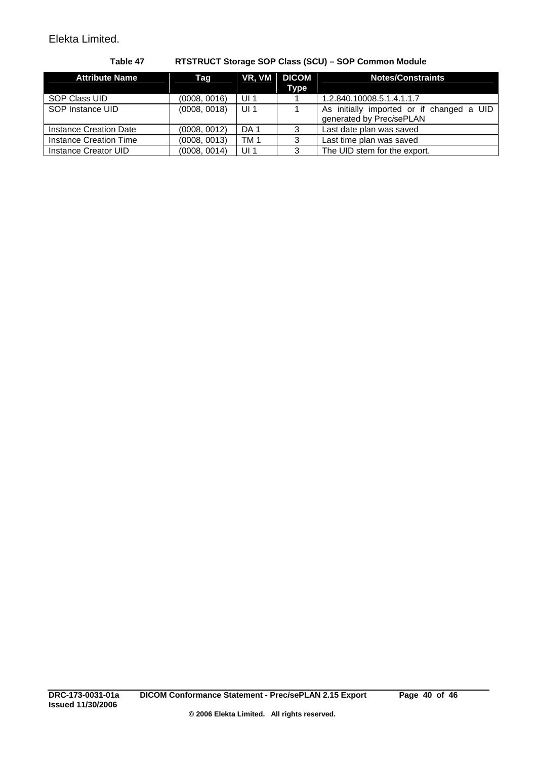<span id="page-39-0"></span>

| <b>Attribute Name</b>  | Tag          | VR, VM          | <b>DICOM</b><br>Type | <b>Notes/Constraints</b>                                              |
|------------------------|--------------|-----------------|----------------------|-----------------------------------------------------------------------|
| SOP Class UID          | (0008, 0016) | UI <sub>1</sub> |                      | 1.2.840.10008.5.1.4.1.1.7                                             |
| SOP Instance UID       | (0008, 0018) | UI <sub>1</sub> |                      | As initially imported or if changed a UID<br>generated by PrecisePLAN |
| Instance Creation Date | (0008, 0012) | DA 1            | 3                    | Last date plan was saved                                              |
| Instance Creation Time | (0008, 0013) | TM 1            | 3                    | Last time plan was saved                                              |
| Instance Creator UID   | (0008, 0014) | UI <sub>1</sub> | 3                    | The UID stem for the export.                                          |

#### **Table 47 RTSTRUCT Storage SOP Class (SCU) – SOP Common Module**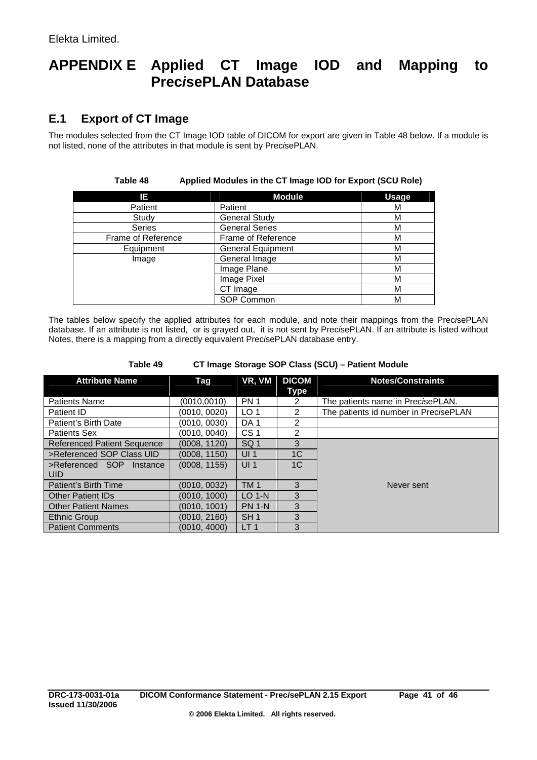# <span id="page-40-0"></span>**APPENDIX E Applied CT Image IOD and Mapping to Prec***i***sePLAN Database**

# **E.1 Export of CT Image**

The modules selected from the CT Image IOD table of DICOM for export are given in Table 48 below. If a module is not listed, none of the attributes in that module is sent by Prec*i*sePLAN.

**Table 48 Applied Modules in the CT Image IOD for Export (SCU Role)** 

| IE.                | <b>Module</b>            | <b>Usage</b> |
|--------------------|--------------------------|--------------|
| Patient            | Patient                  | М            |
| Study              | <b>General Study</b>     | м            |
| <b>Series</b>      | <b>General Series</b>    | м            |
| Frame of Reference | Frame of Reference       | м            |
| Equipment          | <b>General Equipment</b> | м            |
| Image              | General Image            | М            |
|                    | Image Plane              | М            |
|                    | Image Pixel              | м            |
|                    | CT Image                 | М            |
|                    | SOP Common               | м            |

The tables below specify the applied attributes for each module, and note their mappings from the Prec*i*sePLAN database. If an attribute is not listed, or is grayed out, it is not sent by Prec*i*sePLAN. If an attribute is listed without Notes, there is a mapping from a directly equivalent Prec*i*sePLAN database entry.

| Table 49 | CT Image Storage SOP Class (SCU) - Patient Module |
|----------|---------------------------------------------------|
|----------|---------------------------------------------------|

| <b>Attribute Name</b>                     | Tag          | VR, VM          | <b>DICOM</b><br>Type | <b>Notes/Constraints</b>              |
|-------------------------------------------|--------------|-----------------|----------------------|---------------------------------------|
| <b>Patients Name</b>                      | (0010, 0010) | PN <sub>1</sub> | 2                    | The patients name in PrecisePLAN.     |
| Patient ID                                | (0010, 0020) | LO <sub>1</sub> | 2                    | The patients id number in PrecisePLAN |
| Patient's Birth Date                      | (0010, 0030) | DA <sub>1</sub> | $\mathcal{P}$        |                                       |
| <b>Patients Sex</b>                       | (0010, 0040) | CS <sub>1</sub> | 2                    |                                       |
| <b>Referenced Patient Sequence</b>        | (0008, 1120) | SQ <sub>1</sub> | 3                    |                                       |
| >Referenced SOP Class UID                 | (0008, 1150) | UI <sub>1</sub> | 1 <sup>C</sup>       |                                       |
| >Referenced SOP<br>Instance<br><b>UID</b> | (0008, 1155) | UI <sub>1</sub> | 1 <sup>C</sup>       |                                       |
| Patient's Birth Time                      | (0010, 0032) | <b>TM1</b>      | 3                    | Never sent                            |
| <b>Other Patient IDs</b>                  | (0010, 1000) | $LO$ 1-N        | 3                    |                                       |
| <b>Other Patient Names</b>                | (0010, 1001) | <b>PN 1-N</b>   | 3                    |                                       |
| <b>Ethnic Group</b>                       | (0010, 2160) | SH <sub>1</sub> | 3                    |                                       |
| <b>Patient Comments</b>                   | (0010, 4000) | LT <sub>1</sub> | 3                    |                                       |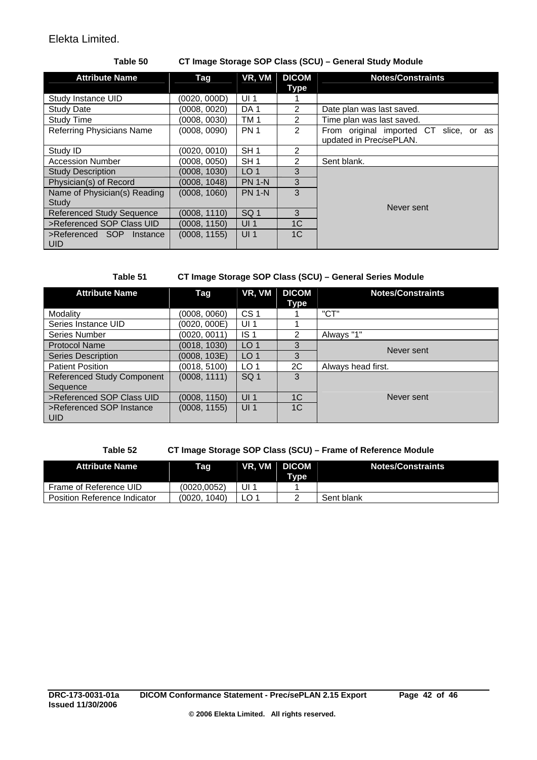#### **Table 50 CT Image Storage SOP Class (SCU) – General Study Module**

<span id="page-41-0"></span>

| <b>Attribute Name</b>            | Tag          | VR, VM          | <b>DICOM</b><br>Type | <b>Notes/Constraints</b>                                          |
|----------------------------------|--------------|-----------------|----------------------|-------------------------------------------------------------------|
| Study Instance UID               | (0020, 000D) | UI <sub>1</sub> |                      |                                                                   |
| <b>Study Date</b>                | (0008, 0020) | DA <sub>1</sub> | 2                    | Date plan was last saved.                                         |
| <b>Study Time</b>                | (0008, 0030) | TM <sub>1</sub> | 2                    | Time plan was last saved.                                         |
| <b>Referring Physicians Name</b> | (0008, 0090) | <b>PN 1</b>     | $\overline{2}$       | From original imported CT slice, or as<br>updated in PrecisePLAN. |
| Study ID                         | (0020, 0010) | SH <sub>1</sub> | $\overline{2}$       |                                                                   |
| <b>Accession Number</b>          | (0008, 0050) | SH <sub>1</sub> | 2                    | Sent blank.                                                       |
| <b>Study Description</b>         | (0008, 1030) | LO <sub>1</sub> | 3                    |                                                                   |
| Physician(s) of Record           | (0008, 1048) | <b>PN 1-N</b>   | 3                    |                                                                   |
| Name of Physician(s) Reading     | (0008, 1060) | <b>PN 1-N</b>   | 3                    |                                                                   |
| Study                            |              |                 |                      | Never sent                                                        |
| <b>Referenced Study Sequence</b> | (0008, 1110) | SQ <sub>1</sub> | 3                    |                                                                   |
| >Referenced SOP Class UID        | (0008, 1150) | UI <sub>1</sub> | 1 <sub>C</sub>       |                                                                   |
| >Referenced SOP Instance<br>UID. | (0008, 1155) | UI <sub>1</sub> | 1 <sup>C</sup>       |                                                                   |

#### **Table 51 CT Image Storage SOP Class (SCU) – General Series Module**

| <b>Attribute Name</b>             | Tag          | VR, VM          | <b>DICOM</b>   | <b>Notes/Constraints</b> |
|-----------------------------------|--------------|-----------------|----------------|--------------------------|
|                                   |              |                 | Type           |                          |
| Modality                          | (0008, 0060) | CS <sub>1</sub> |                | "CT"                     |
| Series Instance UID               | (0020, 000E) | UI <sub>1</sub> |                |                          |
| Series Number                     | (0020, 0011) | IS <sub>1</sub> | 2              | Always "1"               |
| <b>Protocol Name</b>              | (0018, 1030) | LO <sub>1</sub> | 3              | Never sent               |
| <b>Series Description</b>         | (0008, 103E) | LO <sub>1</sub> | 3              |                          |
| <b>Patient Position</b>           | (0018, 5100) | LO <sub>1</sub> | 2C             | Always head first.       |
| <b>Referenced Study Component</b> | (0008, 1111) | SQ <sub>1</sub> | 3              |                          |
| Sequence                          |              |                 |                |                          |
| >Referenced SOP Class UID         | (0008, 1150) | UI <sub>1</sub> | 1 <sup>C</sup> | Never sent               |
| >Referenced SOP Instance          | (0008, 1155) | UI <sub>1</sub> | 1C             |                          |
| UID.                              |              |                 |                |                          |

#### **Table 52 CT Image Storage SOP Class (SCU) – Frame of Reference Module**

| <b>Attribute Name</b>        | Tag.            | VR, VM | <b>DICOM</b><br><b>Type</b> | <b>Notes/Constraints</b> |
|------------------------------|-----------------|--------|-----------------------------|--------------------------|
| Frame of Reference UID       | (0020.0052`     | UI     |                             |                          |
| Position Reference Indicator | 1040)<br>(0020. | ∟O 1   |                             | Sent blank               |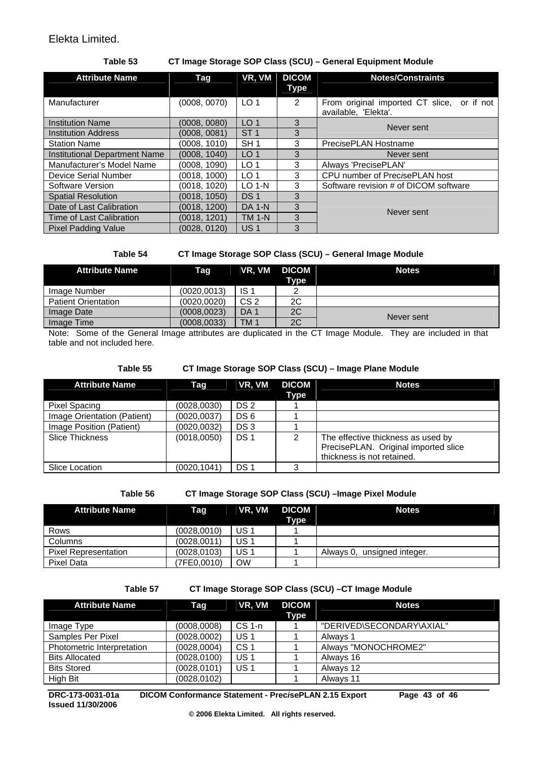#### **Table 53 CT Image Storage SOP Class (SCU) – General Equipment Module**

<span id="page-42-0"></span>

| <b>Attribute Name</b>                | Tag          | VR, VM          | <b>DICOM</b><br>Type | <b>Notes/Constraints</b>                                           |
|--------------------------------------|--------------|-----------------|----------------------|--------------------------------------------------------------------|
| Manufacturer                         | (0008, 0070) | LO <sub>1</sub> | $\mathcal{P}$        | From original imported CT slice, or if not<br>available, 'Elekta'. |
| <b>Institution Name</b>              | (0008, 0080) | LO <sub>1</sub> | 3                    | Never sent                                                         |
| <b>Institution Address</b>           | (0008, 0081) | ST <sub>1</sub> | 3                    |                                                                    |
| <b>Station Name</b>                  | (0008, 1010) | SH <sub>1</sub> | 3                    | PrecisePLAN Hostname                                               |
| <b>Institutional Department Name</b> | (0008, 1040) | LO <sub>1</sub> | 3                    | Never sent                                                         |
| Manufacturer's Model Name            | (0008, 1090) | LO <sub>1</sub> | 3                    | Always 'PrecisePLAN'                                               |
| Device Serial Number                 | (0018, 1000) | LO <sub>1</sub> | 3                    | CPU number of PrecisePLAN host                                     |
| Software Version                     | (0018, 1020) | $LO 1-N$        | 3                    | Software revision # of DICOM software                              |
| <b>Spatial Resolution</b>            | (0018, 1050) | <b>DS1</b>      | 3                    |                                                                    |
| Date of Last Calibration             | (0018, 1200) | <b>DA 1-N</b>   | 3                    | Never sent                                                         |
| Time of Last Calibration             | (0018, 1201) | <b>TM 1-N</b>   | 3                    |                                                                    |
| <b>Pixel Padding Value</b>           | (0028, 0120) | US <sub>1</sub> | 3                    |                                                                    |

**Table 54 CT Image Storage SOP Class (SCU) – General Image Module** 

| <b>Attribute Name</b>      | Tag          | VR, VM          | <b>DICOM</b><br><b>Type</b> | <b>Notes</b> |
|----------------------------|--------------|-----------------|-----------------------------|--------------|
| Image Number               | (0020, 0013) | IS 1            |                             |              |
| <b>Patient Orientation</b> | (0020, 0020) | CS <sub>2</sub> | 2C                          |              |
| Image Date                 | (0008, 0023) | DA <sub>1</sub> | 2C                          |              |
| Image Time                 | (0008, 0033) | <b>TM1</b>      | 2C                          | Never sent   |

Note: Some of the General Image attributes are duplicated in the CT Image Module. They are included in that table and not included here.

#### **Table 55 CT Image Storage SOP Class (SCU) – Image Plane Module**

| <b>Attribute Name</b>       | Tag          | VR, VM          | <b>DICOM</b> | <b>Notes</b>                         |
|-----------------------------|--------------|-----------------|--------------|--------------------------------------|
|                             |              |                 | Type         |                                      |
| <b>Pixel Spacing</b>        | (0028,0030)  | DS <sub>2</sub> |              |                                      |
| Image Orientation (Patient) | (0020, 0037) | DS 6            |              |                                      |
| Image Position (Patient)    | (0020, 0032) | DS <sub>3</sub> |              |                                      |
| <b>Slice Thickness</b>      | (0018, 0050) | DS 1            | 2            | The effective thickness as used by   |
|                             |              |                 |              | PrecisePLAN. Original imported slice |
|                             |              |                 |              | thickness is not retained.           |
| Slice Location              | (0020, 1041) | DS ·            | 3            |                                      |

#### **Table 56 CT Image Storage SOP Class (SCU) –Image Pixel Module**

| <b>Attribute Name</b>       | Taq         | VR, VM          | <b>DICOM</b><br>Type | <b>Notes</b>                |
|-----------------------------|-------------|-----------------|----------------------|-----------------------------|
| Rows                        | (0028.0010) | US <sub>1</sub> |                      |                             |
| Columns                     | (0028.0011) | US <sub>1</sub> |                      |                             |
| <b>Pixel Representation</b> | (0028.0103) | US <sub>1</sub> |                      | Always 0, unsigned integer. |
| Pixel Data                  | (7FE0,0010) | <b>OW</b>       |                      |                             |

#### **Table 57 CT Image Storage SOP Class (SCU) –CT Image Module**

| <b>Attribute Name</b>      | <b>Tag</b>   | VR, VM          | <b>DICOM</b> | <b>Notes</b>              |
|----------------------------|--------------|-----------------|--------------|---------------------------|
|                            |              |                 | <b>Type</b>  |                           |
| Image Type                 | (0008,0008)  | $CS1-n$         |              | "DERIVED\SECONDARY\AXIAL" |
| Samples Per Pixel          | (0028,0002)  | US <sub>1</sub> |              | Alwavs 1                  |
| Photometric Interpretation | (0028,0004)  | CS <sub>1</sub> |              | Always "MONOCHROME2"      |
| <b>Bits Allocated</b>      | (0028, 0100) | US <sub>1</sub> |              | Always 16                 |
| <b>Bits Stored</b>         | (0028, 0101) | US <sub>1</sub> |              | Always 12                 |
| <b>High Bit</b>            | (0028, 0102) |                 |              | Always 11                 |

**DRC-173-0031-01a DICOM Conformance Statement - Prec***i***sePLAN 2.15 Export Page 43 of 46 Issued 11/30/2006**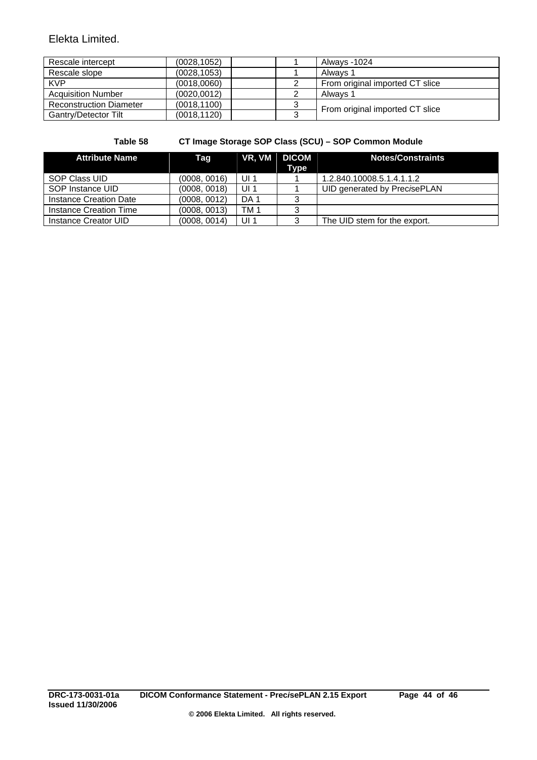<span id="page-43-0"></span>

| Rescale intercept              | (0028, 1052) | Always -1024                    |
|--------------------------------|--------------|---------------------------------|
| Rescale slope                  | (0028, 1053) | Always 1                        |
| <b>KVP</b>                     | (0018.0060)  | From original imported CT slice |
| <b>Acquisition Number</b>      | (0020, 0012) | Alwavs 1                        |
| <b>Reconstruction Diameter</b> | (0018, 1100) | From original imported CT slice |
| Gantry/Detector Tilt           | (0018, 1120) |                                 |

#### **Table 58 CT Image Storage SOP Class (SCU) – SOP Common Module**

| <b>Attribute Name</b>  | Tag          | VR, VM          | <b>DICOM</b> | <b>Notes/Constraints</b>     |
|------------------------|--------------|-----------------|--------------|------------------------------|
|                        |              |                 | Type         |                              |
| SOP Class UID          | (0008, 0016) | UI <sub>1</sub> |              | 1.2.840.10008.5.1.4.1.1.2    |
| SOP Instance UID       | (0008, 0018) | UI <sub>1</sub> |              | UID generated by PrecisePLAN |
| Instance Creation Date | (0008, 0012) | DA 1            | 3            |                              |
| Instance Creation Time | (0008, 0013) | TM <sub>1</sub> | 3            |                              |
| Instance Creator UID   | (0008, 0014) | UI <sub>1</sub> | 3            | The UID stem for the export. |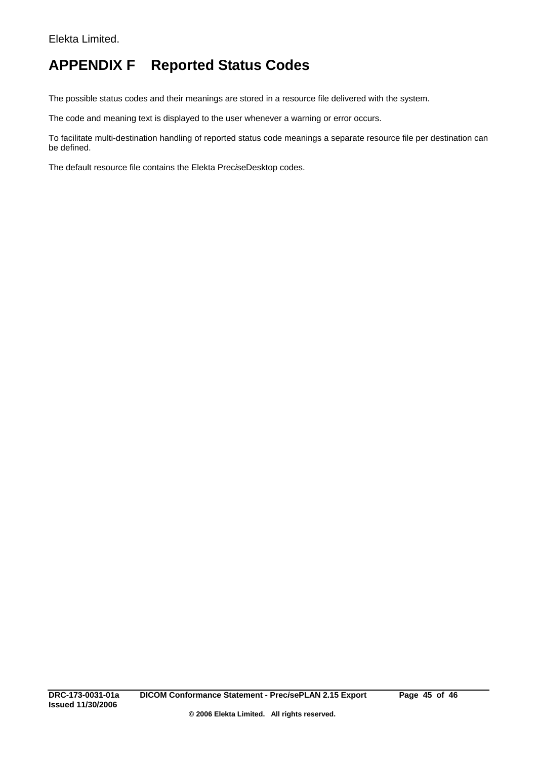# <span id="page-44-0"></span>**APPENDIX F Reported Status Codes**

The possible status codes and their meanings are stored in a resource file delivered with the system.

The code and meaning text is displayed to the user whenever a warning or error occurs.

To facilitate multi-destination handling of reported status code meanings a separate resource file per destination can be defined.

The default resource file contains the Elekta Prec*i*seDesktop codes.